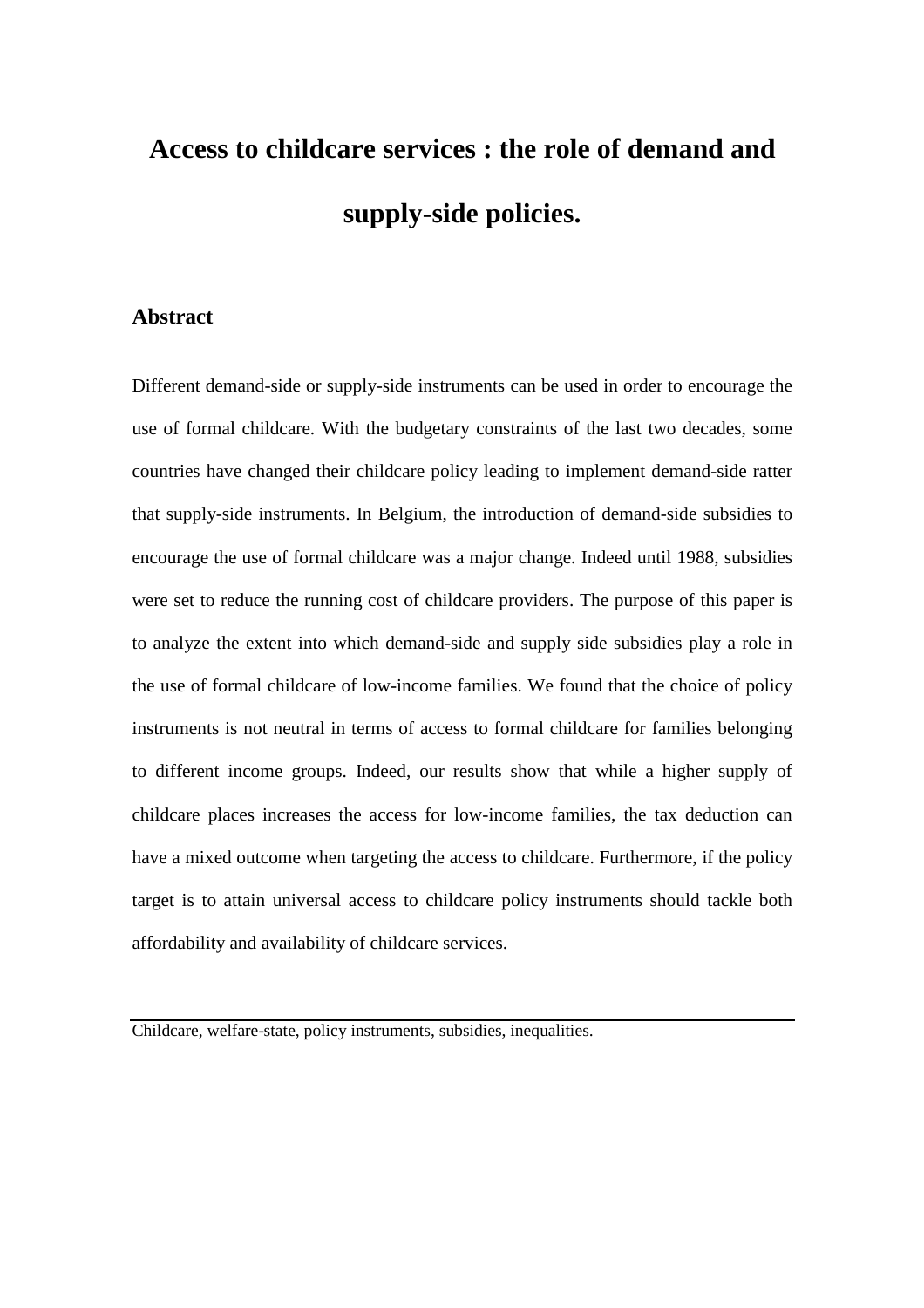# **Access to childcare services : the role of demand and supply-side policies.**

# **Abstract**

Different demand-side or supply-side instruments can be used in order to encourage the use of formal childcare. With the budgetary constraints of the last two decades, some countries have changed their childcare policy leading to implement demand-side ratter that supply-side instruments. In Belgium, the introduction of demand-side subsidies to encourage the use of formal childcare was a major change. Indeed until 1988, subsidies were set to reduce the running cost of childcare providers. The purpose of this paper is to analyze the extent into which demand-side and supply side subsidies play a role in the use of formal childcare of low-income families. We found that the choice of policy instruments is not neutral in terms of access to formal childcare for families belonging to different income groups. Indeed, our results show that while a higher supply of childcare places increases the access for low-income families, the tax deduction can have a mixed outcome when targeting the access to childcare. Furthermore, if the policy target is to attain universal access to childcare policy instruments should tackle both affordability and availability of childcare services.

Childcare, welfare-state, policy instruments, subsidies, inequalities.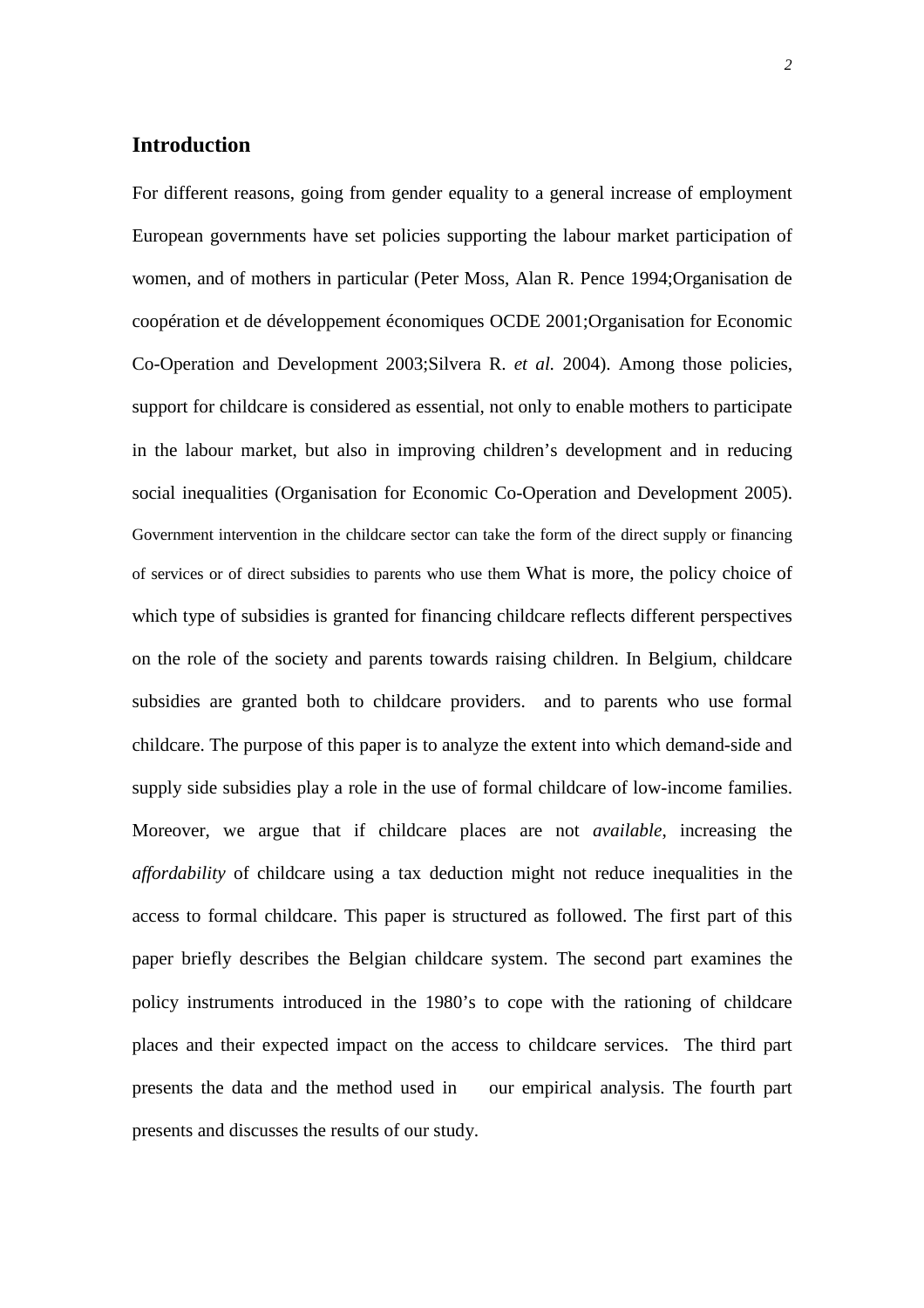# **Introduction**

For different reasons, going from gender equality to a general increase of employment European governments have set policies supporting the labour market participation of women, and of mothers in particular (Peter Moss, Alan R. Pence 1994;Organisation de coopération et de développement économiques OCDE 2001;Organisation for Economic Co-Operation and Development 2003;Silvera R. *et al.* 2004). Among those policies, support for childcare is considered as essential, not only to enable mothers to participate in the labour market, but also in improving children's development and in reducing social inequalities (Organisation for Economic Co-Operation and Development 2005). Government intervention in the childcare sector can take the form of the direct supply or financing of services or of direct subsidies to parents who use them What is more, the policy choice of which type of subsidies is granted for financing childcare reflects different perspectives on the role of the society and parents towards raising children. In Belgium, childcare subsidies are granted both to childcare providers. and to parents who use formal childcare. The purpose of this paper is to analyze the extent into which demand-side and supply side subsidies play a role in the use of formal childcare of low-income families. Moreover, we argue that if childcare places are not *available*, increasing the *affordability* of childcare using a tax deduction might not reduce inequalities in the access to formal childcare. This paper is structured as followed. The first part of this paper briefly describes the Belgian childcare system. The second part examines the policy instruments introduced in the 1980's to cope with the rationing of childcare places and their expected impact on the access to childcare services. The third part presents the data and the method used in our empirical analysis. The fourth part presents and discusses the results of our study.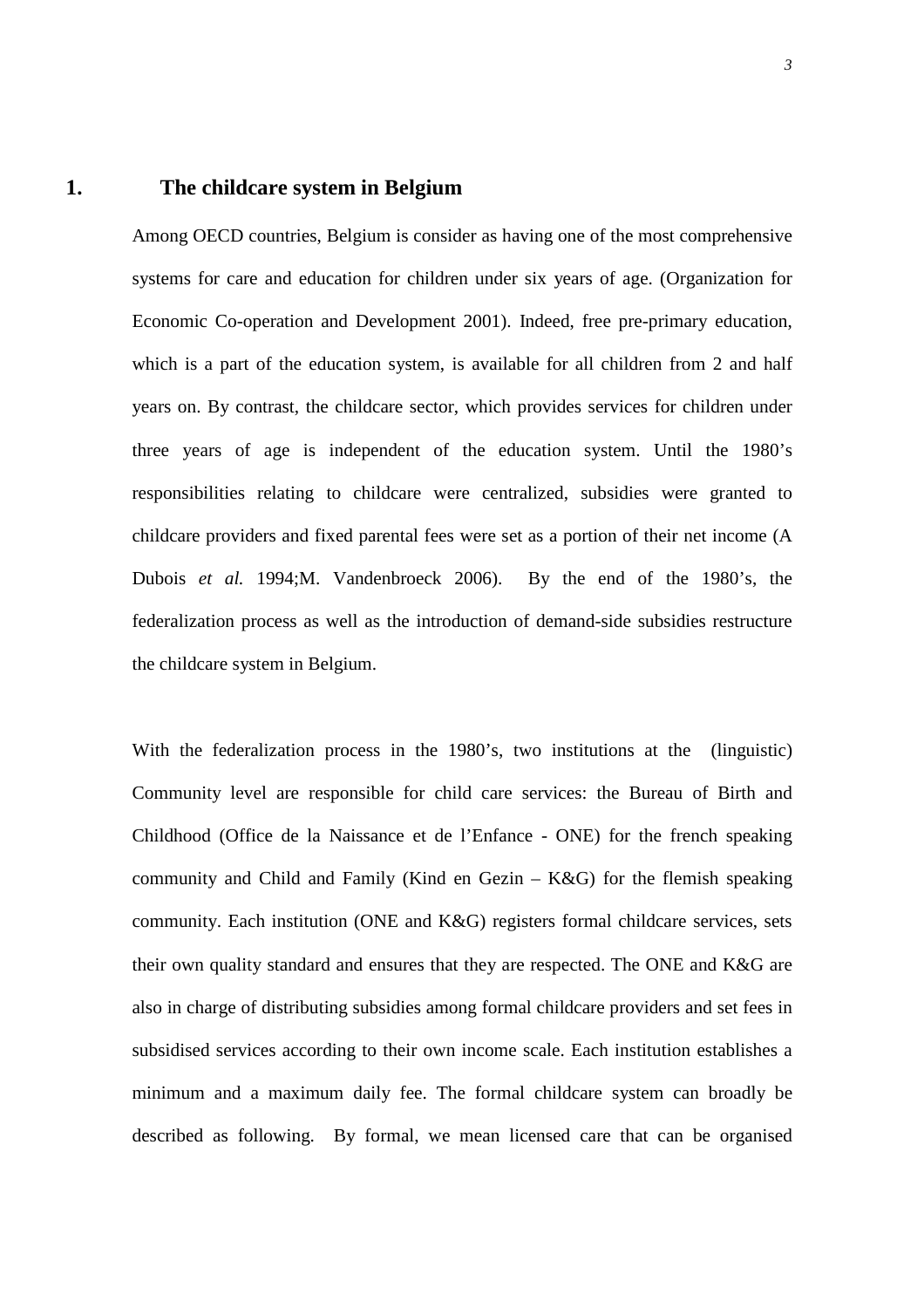## **1. The childcare system in Belgium**

Among OECD countries, Belgium is consider as having one of the most comprehensive systems for care and education for children under six years of age. (Organization for Economic Co-operation and Development 2001). Indeed, free pre-primary education, which is a part of the education system, is available for all children from 2 and half years on. By contrast, the childcare sector, which provides services for children under three years of age is independent of the education system. Until the 1980's responsibilities relating to childcare were centralized, subsidies were granted to childcare providers and fixed parental fees were set as a portion of their net income (A Dubois *et al.* 1994;M. Vandenbroeck 2006). By the end of the 1980's, the federalization process as well as the introduction of demand-side subsidies restructure the childcare system in Belgium.

With the federalization process in the 1980's, two institutions at the (linguistic) Community level are responsible for child care services: the Bureau of Birth and Childhood (Office de la Naissance et de l'Enfance - ONE) for the french speaking community and Child and Family (Kind en Gezin – K&G) for the flemish speaking community. Each institution (ONE and K&G) registers formal childcare services, sets their own quality standard and ensures that they are respected. The ONE and K&G are also in charge of distributing subsidies among formal childcare providers and set fees in subsidised services according to their own income scale. Each institution establishes a minimum and a maximum daily fee. The formal childcare system can broadly be described as following. By formal, we mean licensed care that can be organised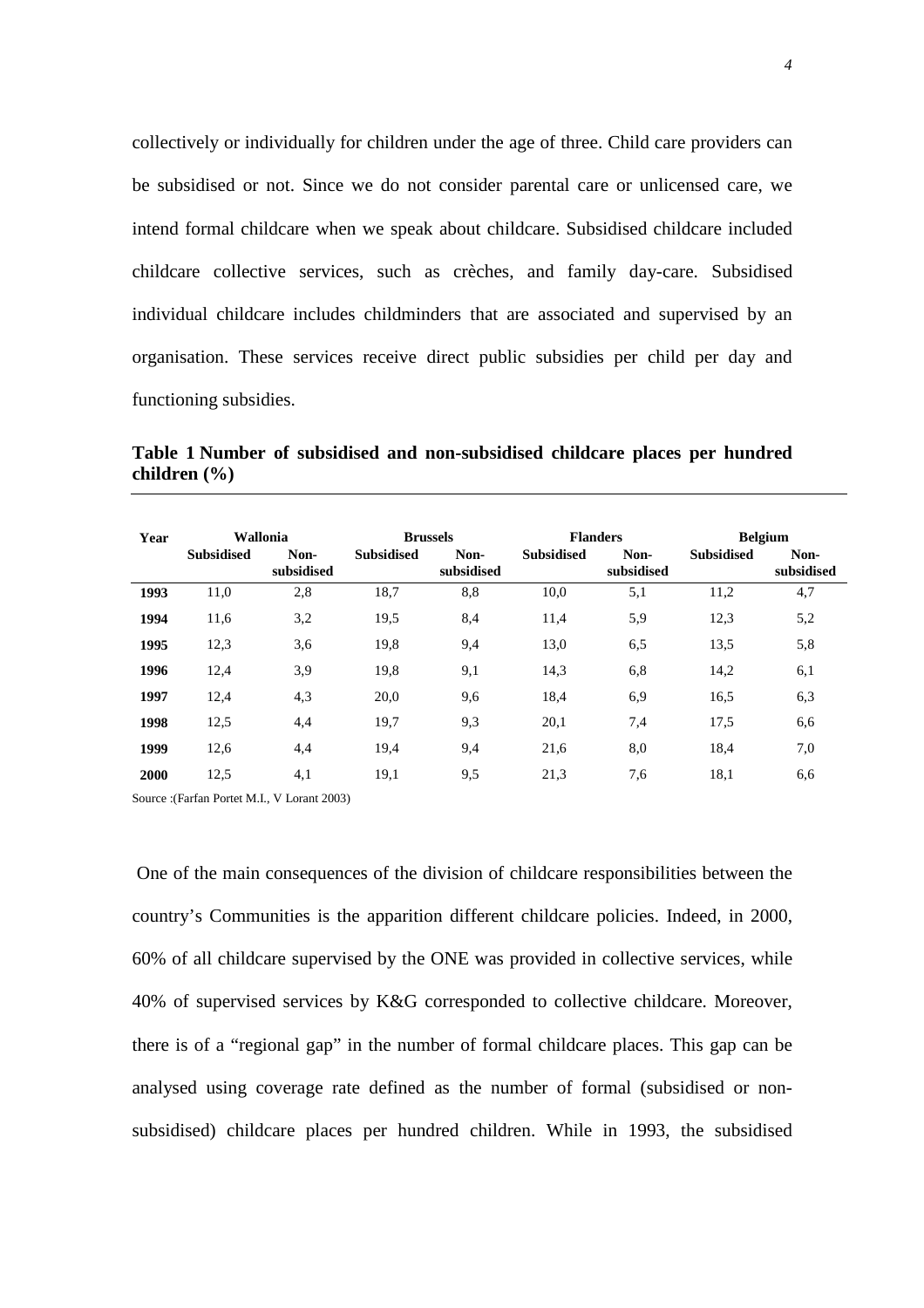collectively or individually for children under the age of three. Child care providers can be subsidised or not. Since we do not consider parental care or unlicensed care, we intend formal childcare when we speak about childcare. Subsidised childcare included childcare collective services, such as crèches, and family day-care. Subsidised individual childcare includes childminders that are associated and supervised by an organisation. These services receive direct public subsidies per child per day and functioning subsidies.

**Table 1 Number of subsidised and non-subsidised childcare places per hundred children (%)** 

| <b>Wallonia</b><br>Year |                   | <b>Brussels</b>    |                   | <b>Flanders</b>    |                   | <b>Belgium</b>     |                   |                    |
|-------------------------|-------------------|--------------------|-------------------|--------------------|-------------------|--------------------|-------------------|--------------------|
|                         | <b>Subsidised</b> | Non-<br>subsidised | <b>Subsidised</b> | Non-<br>subsidised | <b>Subsidised</b> | Non-<br>subsidised | <b>Subsidised</b> | Non-<br>subsidised |
| 1993                    | 11,0              | 2,8                | 18,7              | 8,8                | 10,0              | 5,1                | 11,2              | 4,7                |
| 1994                    | 11,6              | 3,2                | 19,5              | 8,4                | 11,4              | 5,9                | 12,3              | 5,2                |
| 1995                    | 12,3              | 3,6                | 19,8              | 9,4                | 13,0              | 6,5                | 13,5              | 5,8                |
| 1996                    | 12,4              | 3.9                | 19,8              | 9,1                | 14,3              | 6,8                | 14,2              | 6,1                |
| 1997                    | 12,4              | 4,3                | 20,0              | 9,6                | 18,4              | 6,9                | 16,5              | 6,3                |
| 1998                    | 12,5              | 4,4                | 19,7              | 9,3                | 20,1              | 7,4                | 17,5              | 6,6                |
| 1999                    | 12,6              | 4,4                | 19,4              | 9,4                | 21,6              | 8,0                | 18,4              | 7,0                |
| 2000                    | 12,5              | 4,1                | 19,1              | 9,5                | 21,3              | 7,6                | 18,1              | 6,6                |

Source :(Farfan Portet M.I., V Lorant 2003)

 One of the main consequences of the division of childcare responsibilities between the country's Communities is the apparition different childcare policies. Indeed, in 2000, 60% of all childcare supervised by the ONE was provided in collective services, while 40% of supervised services by K&G corresponded to collective childcare. Moreover, there is of a "regional gap" in the number of formal childcare places. This gap can be analysed using coverage rate defined as the number of formal (subsidised or nonsubsidised) childcare places per hundred children. While in 1993, the subsidised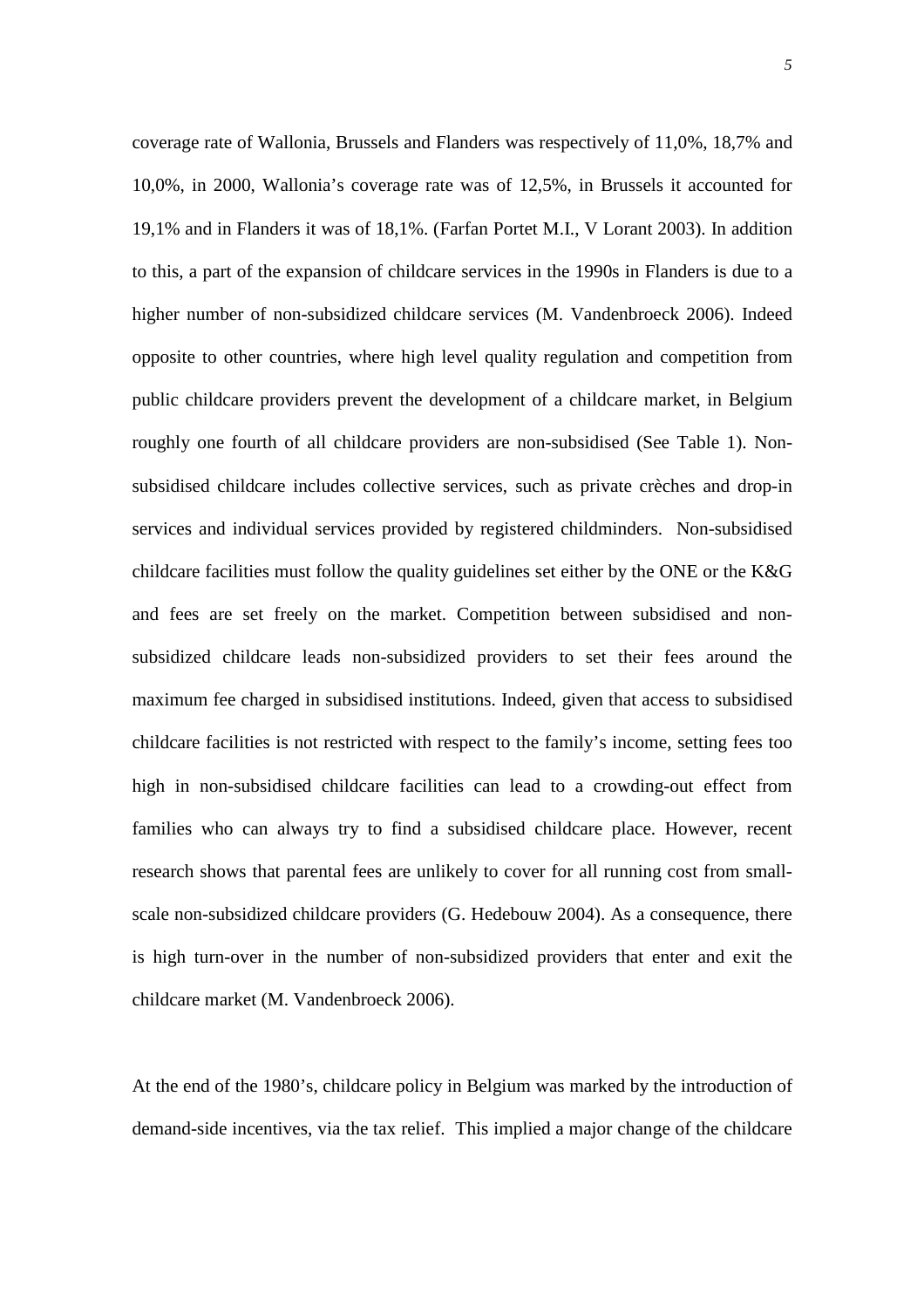coverage rate of Wallonia, Brussels and Flanders was respectively of 11,0%, 18,7% and 10,0%, in 2000, Wallonia's coverage rate was of 12,5%, in Brussels it accounted for 19,1% and in Flanders it was of 18,1%. (Farfan Portet M.I., V Lorant 2003). In addition to this, a part of the expansion of childcare services in the 1990s in Flanders is due to a higher number of non-subsidized childcare services (M. Vandenbroeck 2006). Indeed opposite to other countries, where high level quality regulation and competition from public childcare providers prevent the development of a childcare market, in Belgium roughly one fourth of all childcare providers are non-subsidised (See Table 1). Nonsubsidised childcare includes collective services, such as private crèches and drop-in services and individual services provided by registered childminders. Non-subsidised childcare facilities must follow the quality guidelines set either by the ONE or the K&G and fees are set freely on the market. Competition between subsidised and nonsubsidized childcare leads non-subsidized providers to set their fees around the maximum fee charged in subsidised institutions. Indeed, given that access to subsidised childcare facilities is not restricted with respect to the family's income, setting fees too high in non-subsidised childcare facilities can lead to a crowding-out effect from families who can always try to find a subsidised childcare place. However, recent research shows that parental fees are unlikely to cover for all running cost from smallscale non-subsidized childcare providers (G. Hedebouw 2004). As a consequence, there is high turn-over in the number of non-subsidized providers that enter and exit the childcare market (M. Vandenbroeck 2006).

At the end of the 1980's, childcare policy in Belgium was marked by the introduction of demand-side incentives, via the tax relief. This implied a major change of the childcare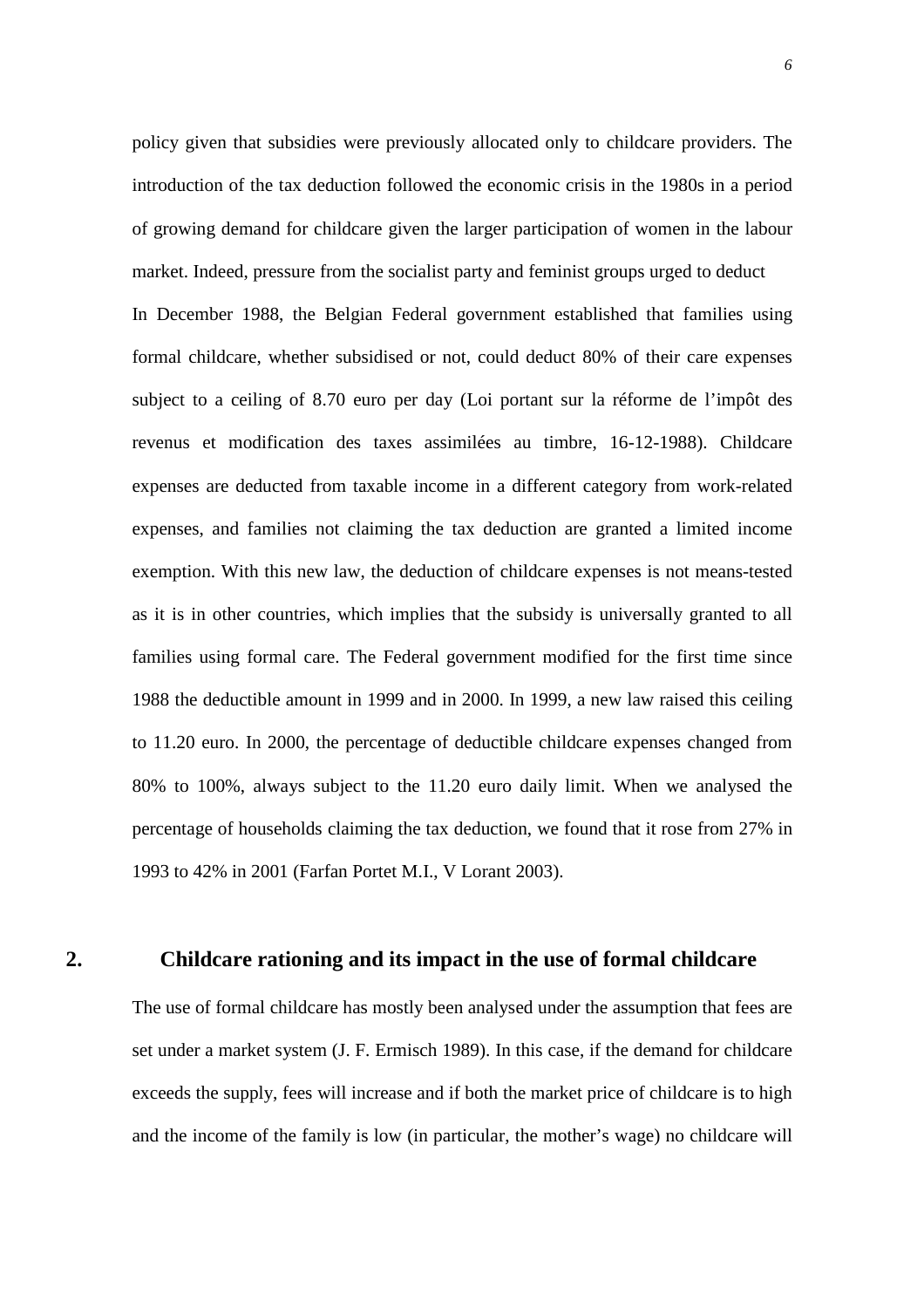policy given that subsidies were previously allocated only to childcare providers. The introduction of the tax deduction followed the economic crisis in the 1980s in a period of growing demand for childcare given the larger participation of women in the labour market. Indeed, pressure from the socialist party and feminist groups urged to deduct In December 1988, the Belgian Federal government established that families using formal childcare, whether subsidised or not, could deduct 80% of their care expenses subject to a ceiling of 8.70 euro per day (Loi portant sur la réforme de l'impôt des revenus et modification des taxes assimilées au timbre, 16-12-1988). Childcare expenses are deducted from taxable income in a different category from work-related expenses, and families not claiming the tax deduction are granted a limited income exemption. With this new law, the deduction of childcare expenses is not means-tested as it is in other countries, which implies that the subsidy is universally granted to all families using formal care. The Federal government modified for the first time since 1988 the deductible amount in 1999 and in 2000. In 1999, a new law raised this ceiling to 11.20 euro. In 2000, the percentage of deductible childcare expenses changed from 80% to 100%, always subject to the 11.20 euro daily limit. When we analysed the percentage of households claiming the tax deduction, we found that it rose from 27% in 1993 to 42% in 2001 (Farfan Portet M.I., V Lorant 2003).

# **2. Childcare rationing and its impact in the use of formal childcare**

The use of formal childcare has mostly been analysed under the assumption that fees are set under a market system (J. F. Ermisch 1989). In this case, if the demand for childcare exceeds the supply, fees will increase and if both the market price of childcare is to high and the income of the family is low (in particular, the mother's wage) no childcare will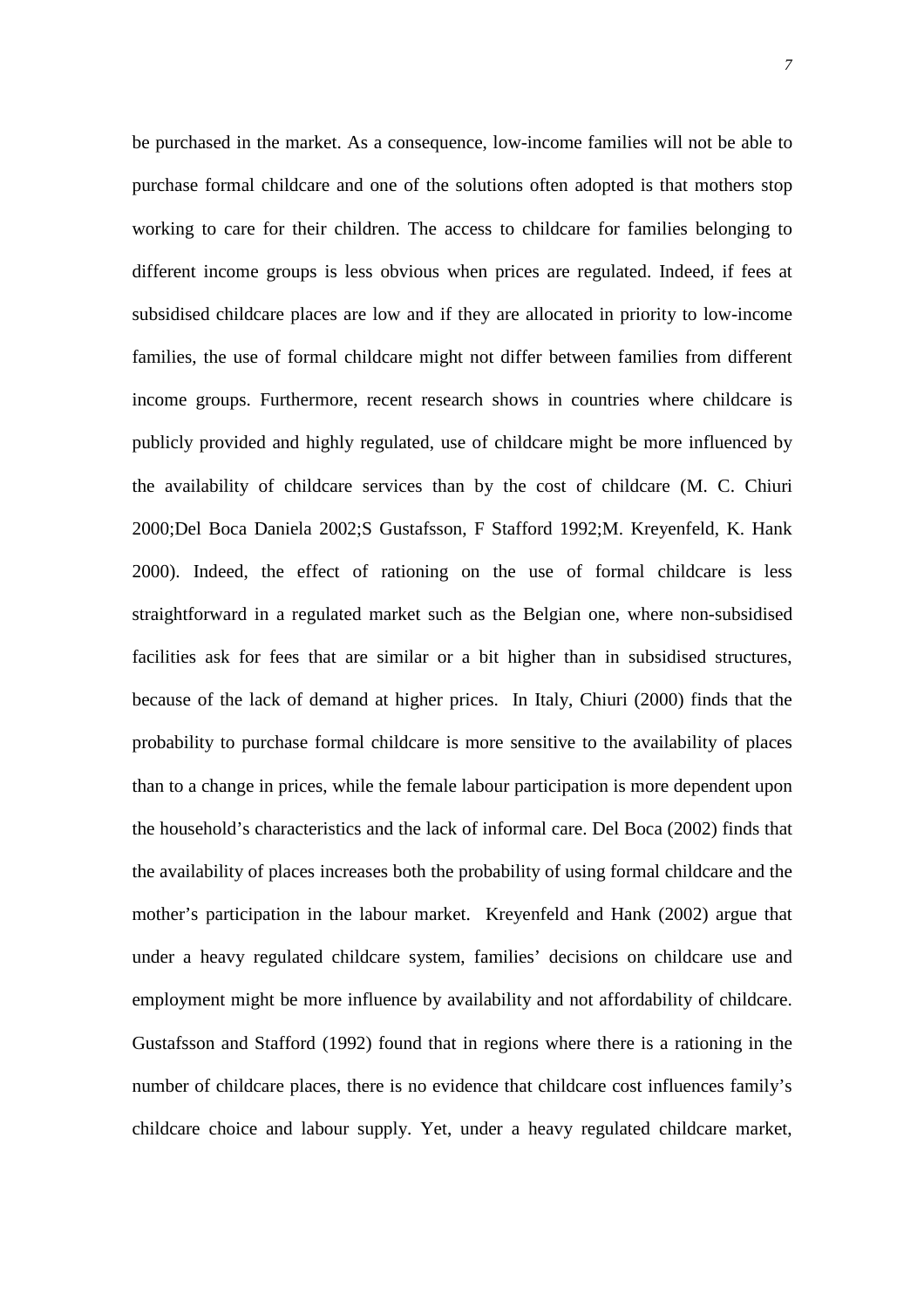be purchased in the market. As a consequence, low-income families will not be able to purchase formal childcare and one of the solutions often adopted is that mothers stop working to care for their children. The access to childcare for families belonging to different income groups is less obvious when prices are regulated. Indeed, if fees at subsidised childcare places are low and if they are allocated in priority to low-income families, the use of formal childcare might not differ between families from different income groups. Furthermore, recent research shows in countries where childcare is publicly provided and highly regulated, use of childcare might be more influenced by the availability of childcare services than by the cost of childcare (M. C. Chiuri 2000;Del Boca Daniela 2002;S Gustafsson, F Stafford 1992;M. Kreyenfeld, K. Hank 2000). Indeed, the effect of rationing on the use of formal childcare is less straightforward in a regulated market such as the Belgian one, where non-subsidised facilities ask for fees that are similar or a bit higher than in subsidised structures, because of the lack of demand at higher prices. In Italy, Chiuri (2000) finds that the probability to purchase formal childcare is more sensitive to the availability of places than to a change in prices, while the female labour participation is more dependent upon the household's characteristics and the lack of informal care. Del Boca (2002) finds that the availability of places increases both the probability of using formal childcare and the mother's participation in the labour market. Kreyenfeld and Hank (2002) argue that under a heavy regulated childcare system, families' decisions on childcare use and employment might be more influence by availability and not affordability of childcare. Gustafsson and Stafford (1992) found that in regions where there is a rationing in the number of childcare places, there is no evidence that childcare cost influences family's childcare choice and labour supply. Yet, under a heavy regulated childcare market,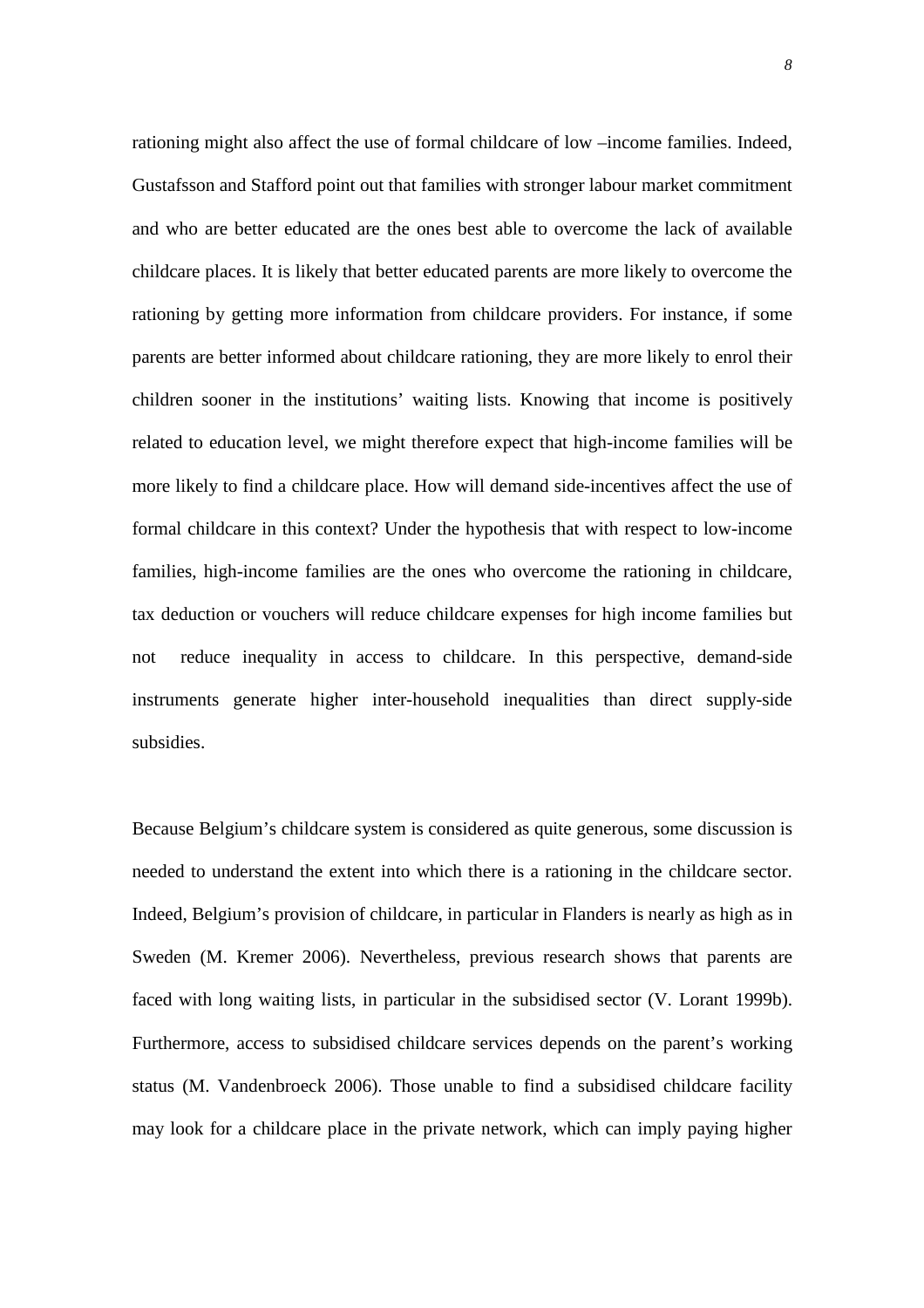rationing might also affect the use of formal childcare of low –income families. Indeed, Gustafsson and Stafford point out that families with stronger labour market commitment and who are better educated are the ones best able to overcome the lack of available childcare places. It is likely that better educated parents are more likely to overcome the rationing by getting more information from childcare providers. For instance, if some parents are better informed about childcare rationing, they are more likely to enrol their children sooner in the institutions' waiting lists. Knowing that income is positively related to education level, we might therefore expect that high-income families will be more likely to find a childcare place. How will demand side-incentives affect the use of formal childcare in this context? Under the hypothesis that with respect to low-income families, high-income families are the ones who overcome the rationing in childcare, tax deduction or vouchers will reduce childcare expenses for high income families but not reduce inequality in access to childcare. In this perspective, demand-side instruments generate higher inter-household inequalities than direct supply-side subsidies.

Because Belgium's childcare system is considered as quite generous, some discussion is needed to understand the extent into which there is a rationing in the childcare sector. Indeed, Belgium's provision of childcare, in particular in Flanders is nearly as high as in Sweden (M. Kremer 2006). Nevertheless, previous research shows that parents are faced with long waiting lists, in particular in the subsidised sector (V. Lorant 1999b). Furthermore, access to subsidised childcare services depends on the parent's working status (M. Vandenbroeck 2006). Those unable to find a subsidised childcare facility may look for a childcare place in the private network, which can imply paying higher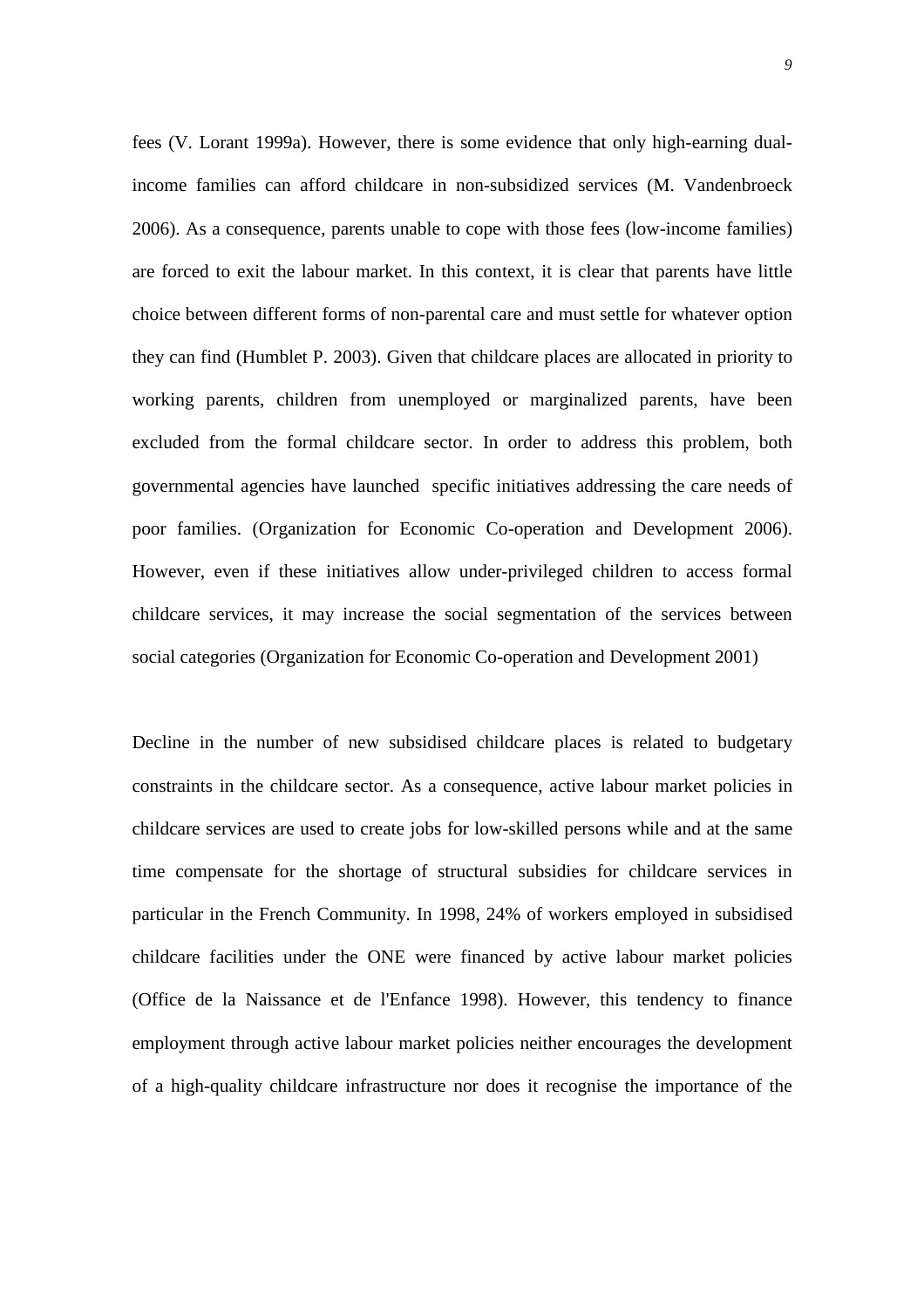fees (V. Lorant 1999a). However, there is some evidence that only high-earning dualincome families can afford childcare in non-subsidized services (M. Vandenbroeck 2006). As a consequence, parents unable to cope with those fees (low-income families) are forced to exit the labour market. In this context, it is clear that parents have little choice between different forms of non-parental care and must settle for whatever option they can find (Humblet P. 2003). Given that childcare places are allocated in priority to working parents, children from unemployed or marginalized parents, have been excluded from the formal childcare sector. In order to address this problem, both governmental agencies have launched specific initiatives addressing the care needs of poor families. (Organization for Economic Co-operation and Development 2006). However, even if these initiatives allow under-privileged children to access formal childcare services, it may increase the social segmentation of the services between social categories (Organization for Economic Co-operation and Development 2001)

Decline in the number of new subsidised childcare places is related to budgetary constraints in the childcare sector. As a consequence, active labour market policies in childcare services are used to create jobs for low-skilled persons while and at the same time compensate for the shortage of structural subsidies for childcare services in particular in the French Community. In 1998, 24% of workers employed in subsidised childcare facilities under the ONE were financed by active labour market policies (Office de la Naissance et de l'Enfance 1998). However, this tendency to finance employment through active labour market policies neither encourages the development of a high-quality childcare infrastructure nor does it recognise the importance of the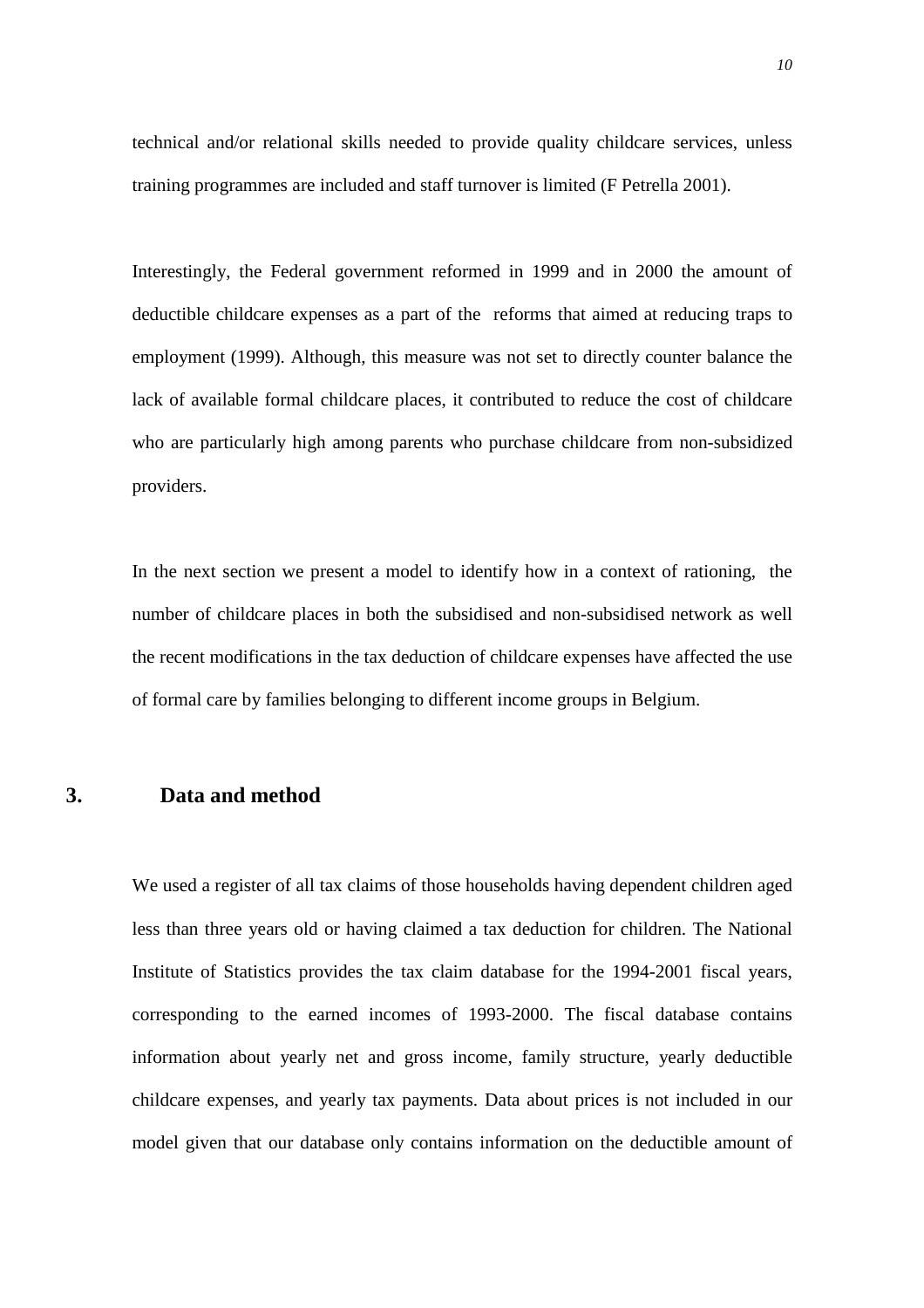technical and/or relational skills needed to provide quality childcare services, unless training programmes are included and staff turnover is limited (F Petrella 2001).

Interestingly, the Federal government reformed in 1999 and in 2000 the amount of deductible childcare expenses as a part of the reforms that aimed at reducing traps to employment (1999). Although, this measure was not set to directly counter balance the lack of available formal childcare places, it contributed to reduce the cost of childcare who are particularly high among parents who purchase childcare from non-subsidized providers.

In the next section we present a model to identify how in a context of rationing, the number of childcare places in both the subsidised and non-subsidised network as well the recent modifications in the tax deduction of childcare expenses have affected the use of formal care by families belonging to different income groups in Belgium.

# **3. Data and method**

We used a register of all tax claims of those households having dependent children aged less than three years old or having claimed a tax deduction for children. The National Institute of Statistics provides the tax claim database for the 1994-2001 fiscal years, corresponding to the earned incomes of 1993-2000. The fiscal database contains information about yearly net and gross income, family structure, yearly deductible childcare expenses, and yearly tax payments. Data about prices is not included in our model given that our database only contains information on the deductible amount of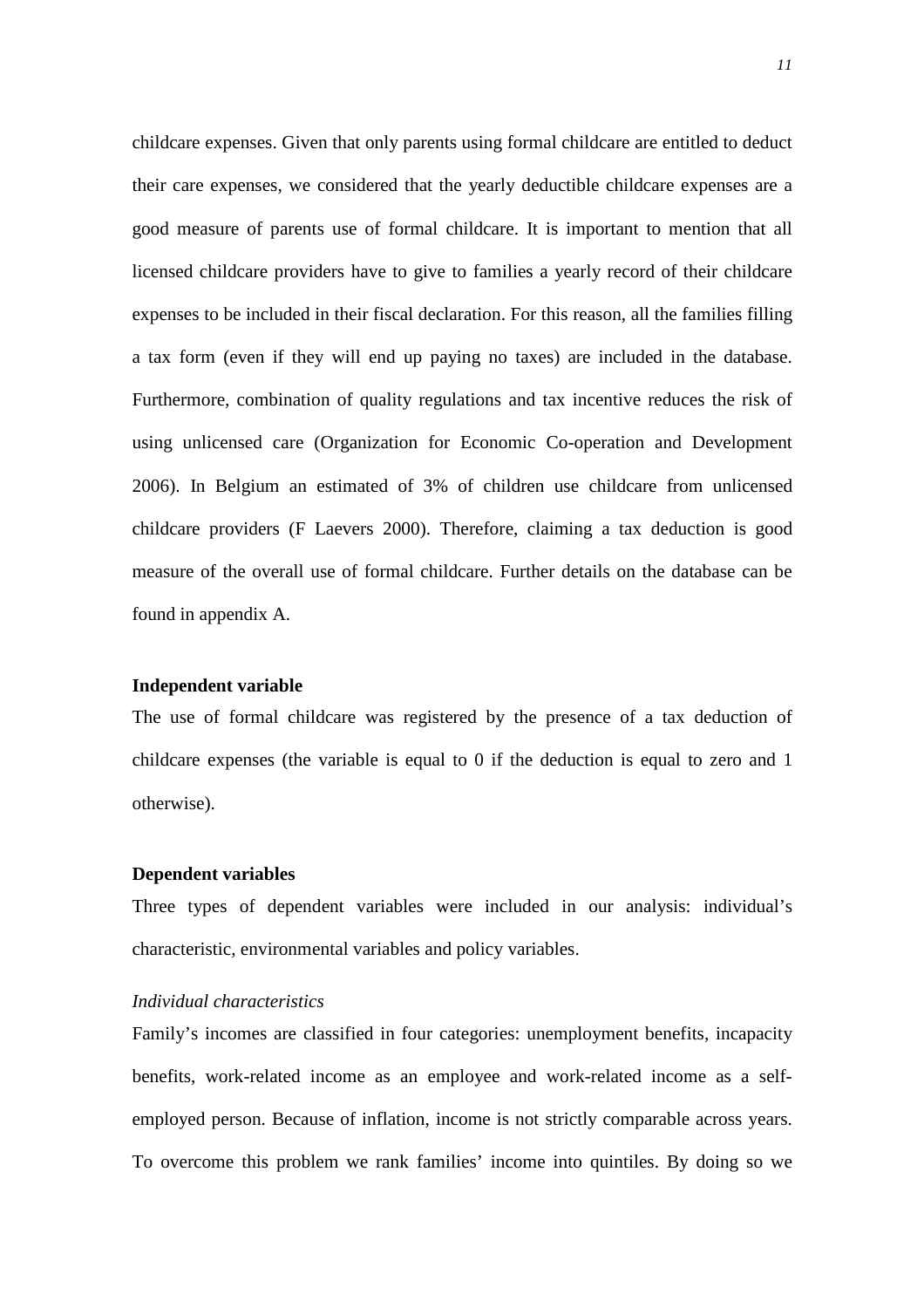childcare expenses. Given that only parents using formal childcare are entitled to deduct their care expenses, we considered that the yearly deductible childcare expenses are a good measure of parents use of formal childcare. It is important to mention that all licensed childcare providers have to give to families a yearly record of their childcare expenses to be included in their fiscal declaration. For this reason, all the families filling a tax form (even if they will end up paying no taxes) are included in the database. Furthermore, combination of quality regulations and tax incentive reduces the risk of using unlicensed care (Organization for Economic Co-operation and Development 2006). In Belgium an estimated of 3% of children use childcare from unlicensed childcare providers (F Laevers 2000). Therefore, claiming a tax deduction is good measure of the overall use of formal childcare. Further details on the database can be found in appendix A.

#### **Independent variable**

The use of formal childcare was registered by the presence of a tax deduction of childcare expenses (the variable is equal to 0 if the deduction is equal to zero and 1 otherwise).

## **Dependent variables**

Three types of dependent variables were included in our analysis: individual's characteristic, environmental variables and policy variables.

#### *Individual characteristics*

Family's incomes are classified in four categories: unemployment benefits, incapacity benefits, work-related income as an employee and work-related income as a selfemployed person. Because of inflation, income is not strictly comparable across years. To overcome this problem we rank families' income into quintiles. By doing so we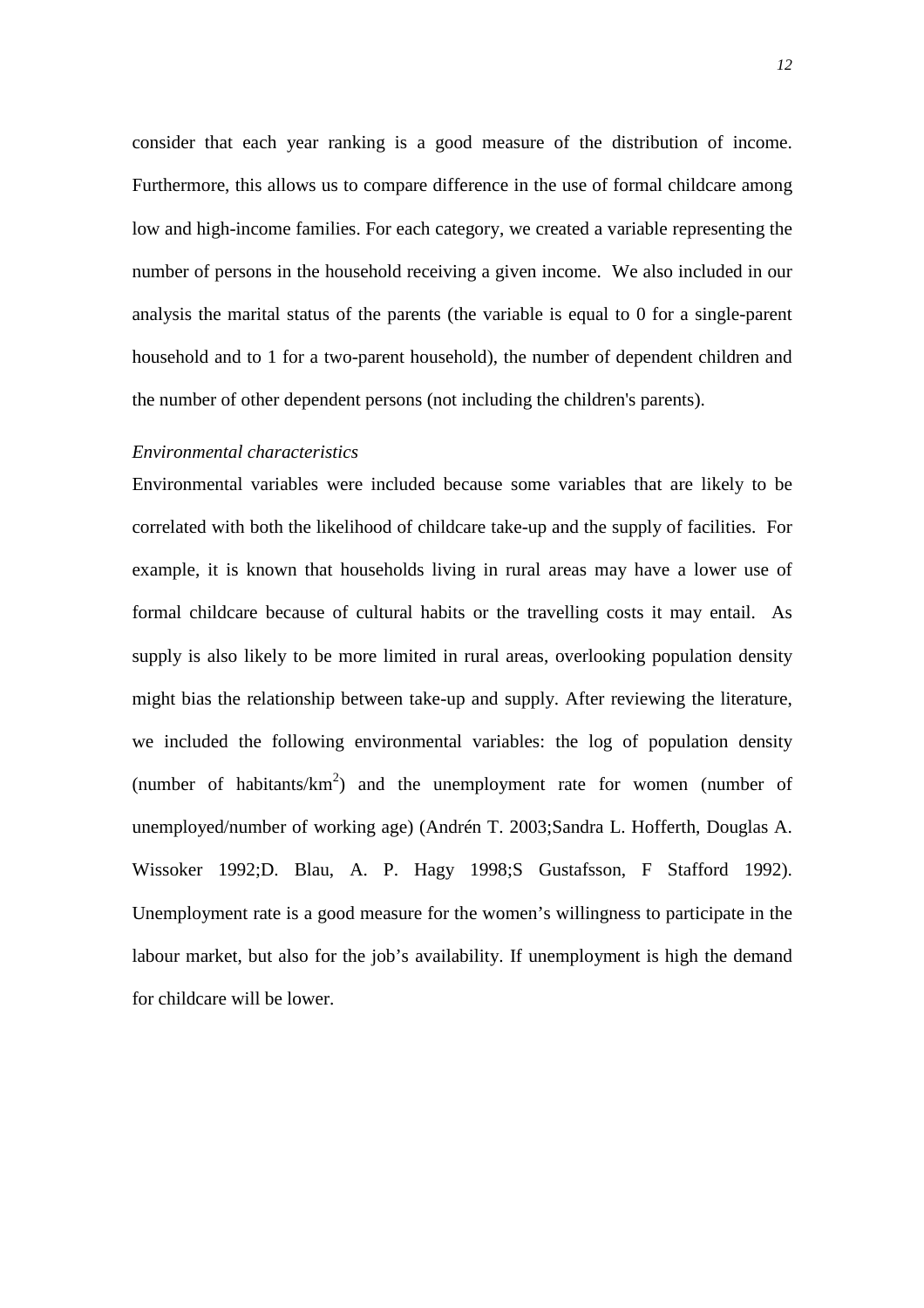consider that each year ranking is a good measure of the distribution of income. Furthermore, this allows us to compare difference in the use of formal childcare among low and high-income families. For each category, we created a variable representing the number of persons in the household receiving a given income. We also included in our analysis the marital status of the parents (the variable is equal to 0 for a single-parent household and to 1 for a two-parent household), the number of dependent children and the number of other dependent persons (not including the children's parents).

## *Environmental characteristics*

Environmental variables were included because some variables that are likely to be correlated with both the likelihood of childcare take-up and the supply of facilities. For example, it is known that households living in rural areas may have a lower use of formal childcare because of cultural habits or the travelling costs it may entail. As supply is also likely to be more limited in rural areas, overlooking population density might bias the relationship between take-up and supply. After reviewing the literature, we included the following environmental variables: the log of population density (number of habitants/ $km^2$ ) and the unemployment rate for women (number of unemployed/number of working age) (Andrén T. 2003;Sandra L. Hofferth, Douglas A. Wissoker 1992;D. Blau, A. P. Hagy 1998;S Gustafsson, F Stafford 1992). Unemployment rate is a good measure for the women's willingness to participate in the labour market, but also for the job's availability. If unemployment is high the demand for childcare will be lower.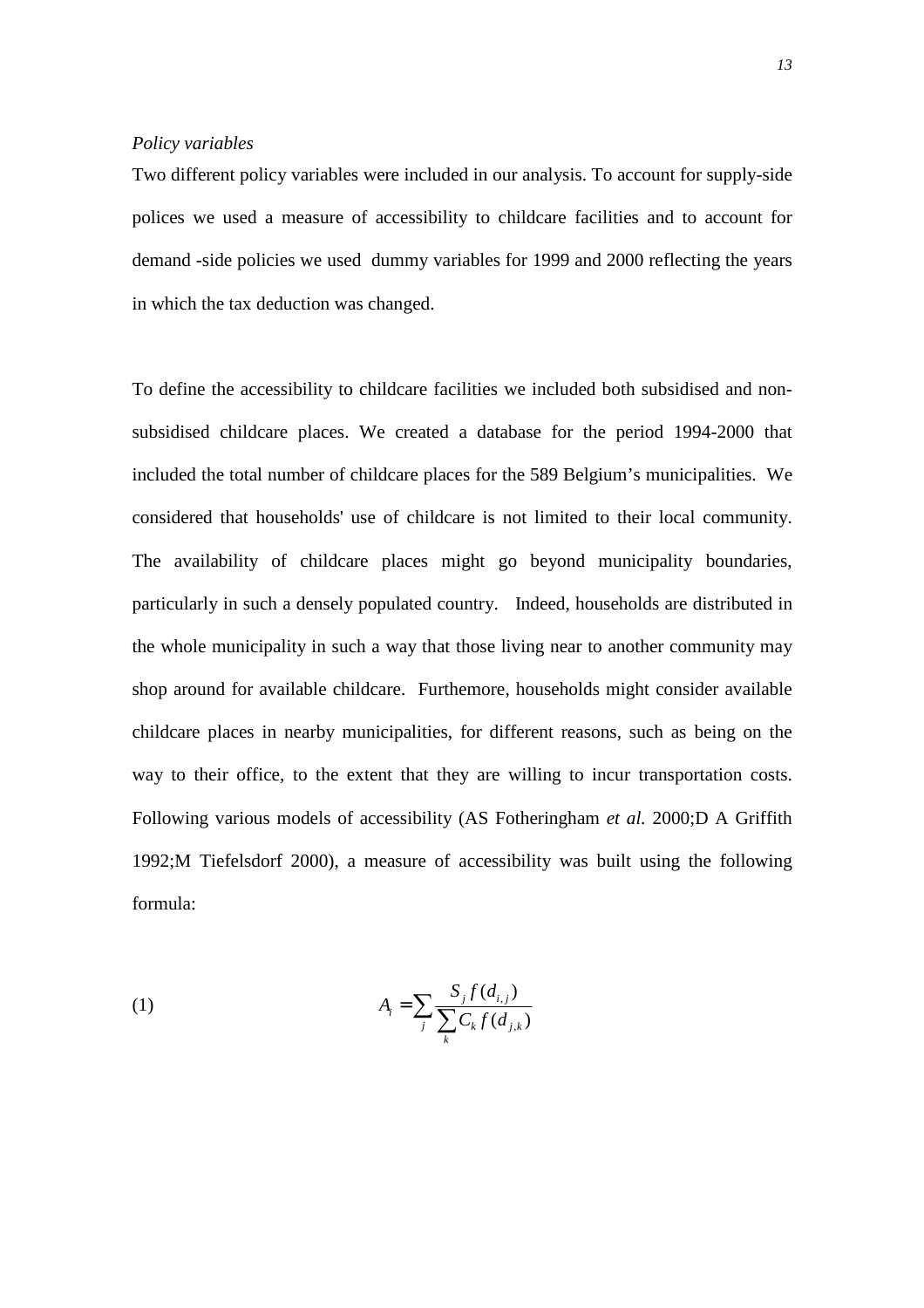#### *Policy variables*

Two different policy variables were included in our analysis. To account for supply-side polices we used a measure of accessibility to childcare facilities and to account for demand -side policies we used dummy variables for 1999 and 2000 reflecting the years in which the tax deduction was changed.

To define the accessibility to childcare facilities we included both subsidised and nonsubsidised childcare places. We created a database for the period 1994-2000 that included the total number of childcare places for the 589 Belgium's municipalities. We considered that households' use of childcare is not limited to their local community. The availability of childcare places might go beyond municipality boundaries, particularly in such a densely populated country. Indeed, households are distributed in the whole municipality in such a way that those living near to another community may shop around for available childcare. Furthemore, households might consider available childcare places in nearby municipalities, for different reasons, such as being on the way to their office, to the extent that they are willing to incur transportation costs. Following various models of accessibility (AS Fotheringham *et al.* 2000;D A Griffith 1992;M Tiefelsdorf 2000), a measure of accessibility was built using the following formula:

(1) 
$$
A_{i} = \sum_{j} \frac{S_{j} f(d_{i,j})}{\sum_{k} C_{k} f(d_{j,k})}
$$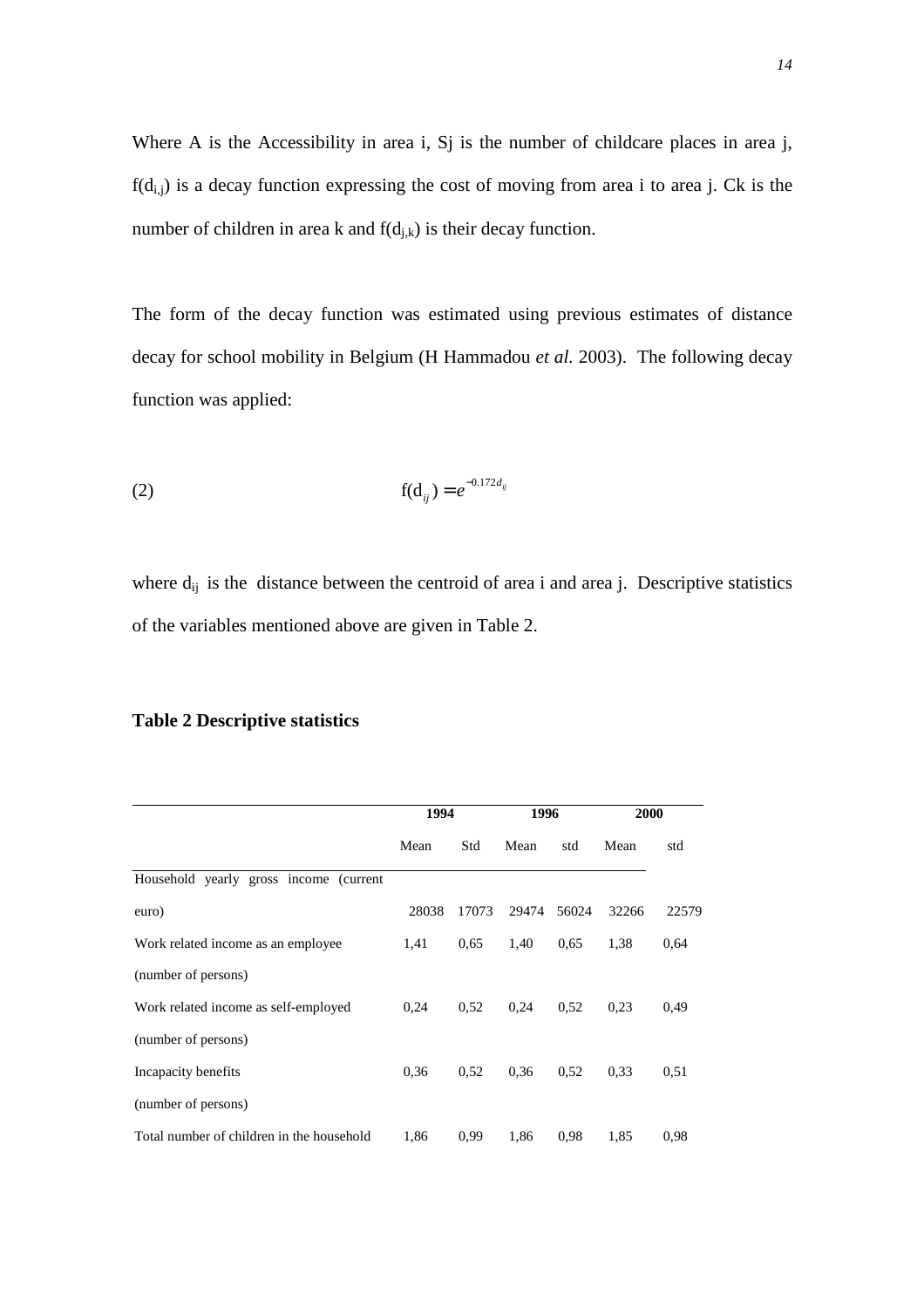Where A is the Accessibility in area i, Sj is the number of childcare places in area j,  $f(d_{i,j})$  is a decay function expressing the cost of moving from area i to area j. Ck is the number of children in area k and  $f(d_{i,k})$  is their decay function.

The form of the decay function was estimated using previous estimates of distance decay for school mobility in Belgium (H Hammadou *et al.* 2003). The following decay function was applied:

(2) 
$$
f(d_{ij}) = e^{-0.172 d_{ij}}
$$

where  $d_{ij}$  is the distance between the centroid of area i and area j. Descriptive statistics of the variables mentioned above are given in Table 2.

|                                           | 1994  |       | 1996  |       | 2000  |       |
|-------------------------------------------|-------|-------|-------|-------|-------|-------|
|                                           | Mean  | Std   | Mean  | std   | Mean  | std   |
| Household yearly gross income (current    |       |       |       |       |       |       |
| euro)                                     | 28038 | 17073 | 29474 | 56024 | 32266 | 22579 |
| Work related income as an employee        | 1,41  | 0.65  | 1,40  | 0.65  | 1,38  | 0.64  |
| (number of persons)                       |       |       |       |       |       |       |
| Work related income as self-employed      | 0,24  | 0.52  | 0,24  | 0.52  | 0,23  | 0.49  |
| (number of persons)                       |       |       |       |       |       |       |
| Incapacity benefits                       | 0.36  | 0.52  | 0.36  | 0.52  | 0,33  | 0.51  |
| (number of persons)                       |       |       |       |       |       |       |
| Total number of children in the household | 1,86  | 0.99  | 1,86  | 0.98  | 1,85  | 0.98  |

#### **Table 2 Descriptive statistics**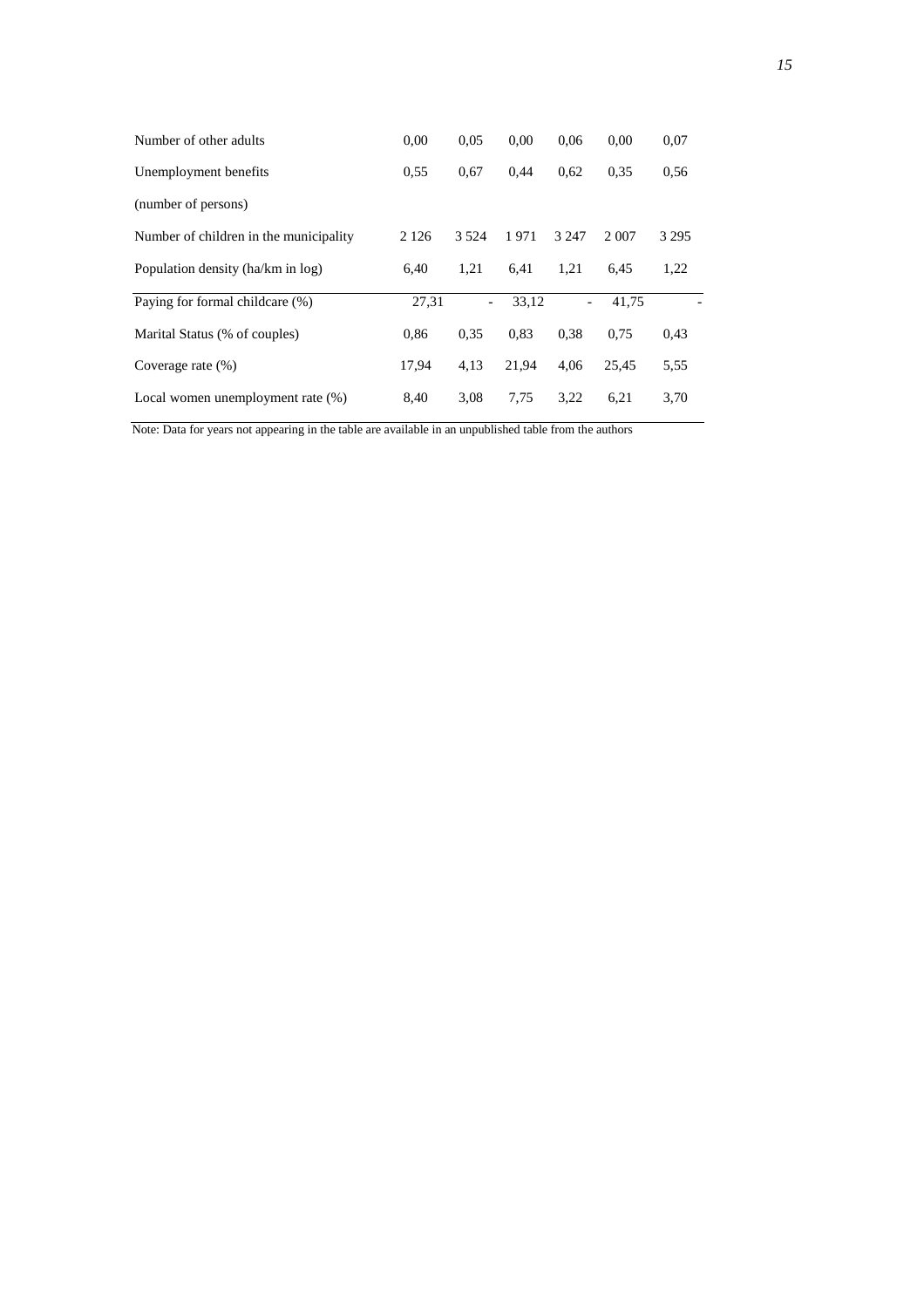| Number of other adults                 | 0,00    | 0.05    | 0.00  | 0.06    | 0.00    | 0,07    |
|----------------------------------------|---------|---------|-------|---------|---------|---------|
| Unemployment benefits                  | 0.55    | 0.67    | 0.44  | 0.62    | 0.35    | 0.56    |
| (number of persons)                    |         |         |       |         |         |         |
| Number of children in the municipality | 2 1 2 6 | 3 5 2 4 | 1971  | 3 2 4 7 | 2 0 0 7 | 3 2 9 5 |
| Population density (ha/km in log)      | 6,40    | 1,21    | 6.41  | 1,21    | 6,45    | 1,22    |
| Paying for formal childcare (%)        | 27,31   | $\sim$  | 33.12 |         | 41.75   |         |
| Marital Status (% of couples)          | 0,86    | 0.35    | 0.83  | 0.38    | 0.75    | 0.43    |
| Coverage rate $(\%)$                   | 17.94   | 4,13    | 21.94 | 4.06    | 25.45   | 5,55    |
| Local women unemployment rate (%)      | 8,40    | 3.08    | 7,75  | 3.22    | 6,21    | 3,70    |

Note: Data for years not appearing in the table are available in an unpublished table from the authors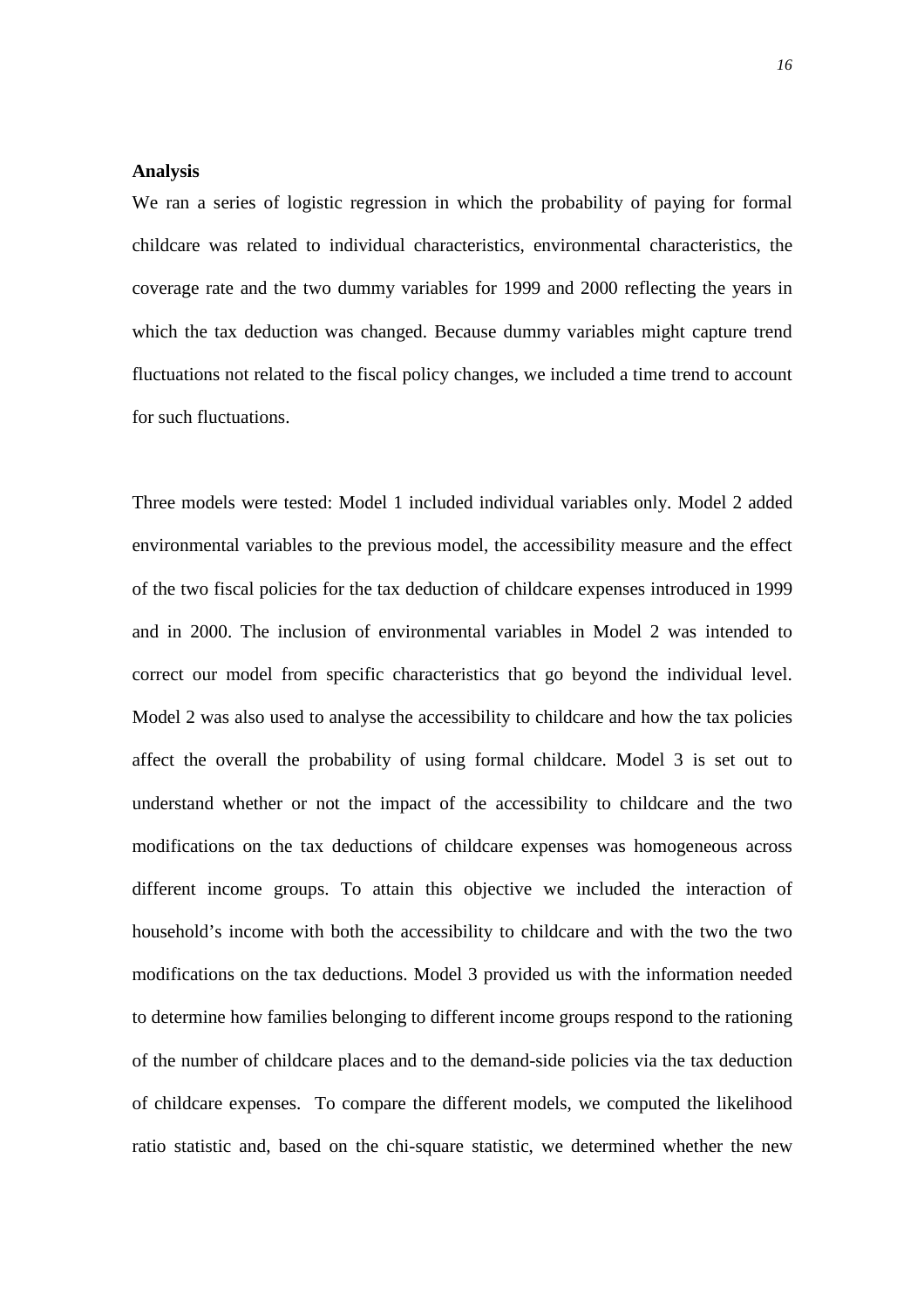#### **Analysis**

We ran a series of logistic regression in which the probability of paying for formal childcare was related to individual characteristics, environmental characteristics, the coverage rate and the two dummy variables for 1999 and 2000 reflecting the years in which the tax deduction was changed. Because dummy variables might capture trend fluctuations not related to the fiscal policy changes, we included a time trend to account for such fluctuations.

Three models were tested: Model 1 included individual variables only. Model 2 added environmental variables to the previous model, the accessibility measure and the effect of the two fiscal policies for the tax deduction of childcare expenses introduced in 1999 and in 2000. The inclusion of environmental variables in Model 2 was intended to correct our model from specific characteristics that go beyond the individual level. Model 2 was also used to analyse the accessibility to childcare and how the tax policies affect the overall the probability of using formal childcare. Model 3 is set out to understand whether or not the impact of the accessibility to childcare and the two modifications on the tax deductions of childcare expenses was homogeneous across different income groups. To attain this objective we included the interaction of household's income with both the accessibility to childcare and with the two the two modifications on the tax deductions. Model 3 provided us with the information needed to determine how families belonging to different income groups respond to the rationing of the number of childcare places and to the demand-side policies via the tax deduction of childcare expenses. To compare the different models, we computed the likelihood ratio statistic and, based on the chi-square statistic, we determined whether the new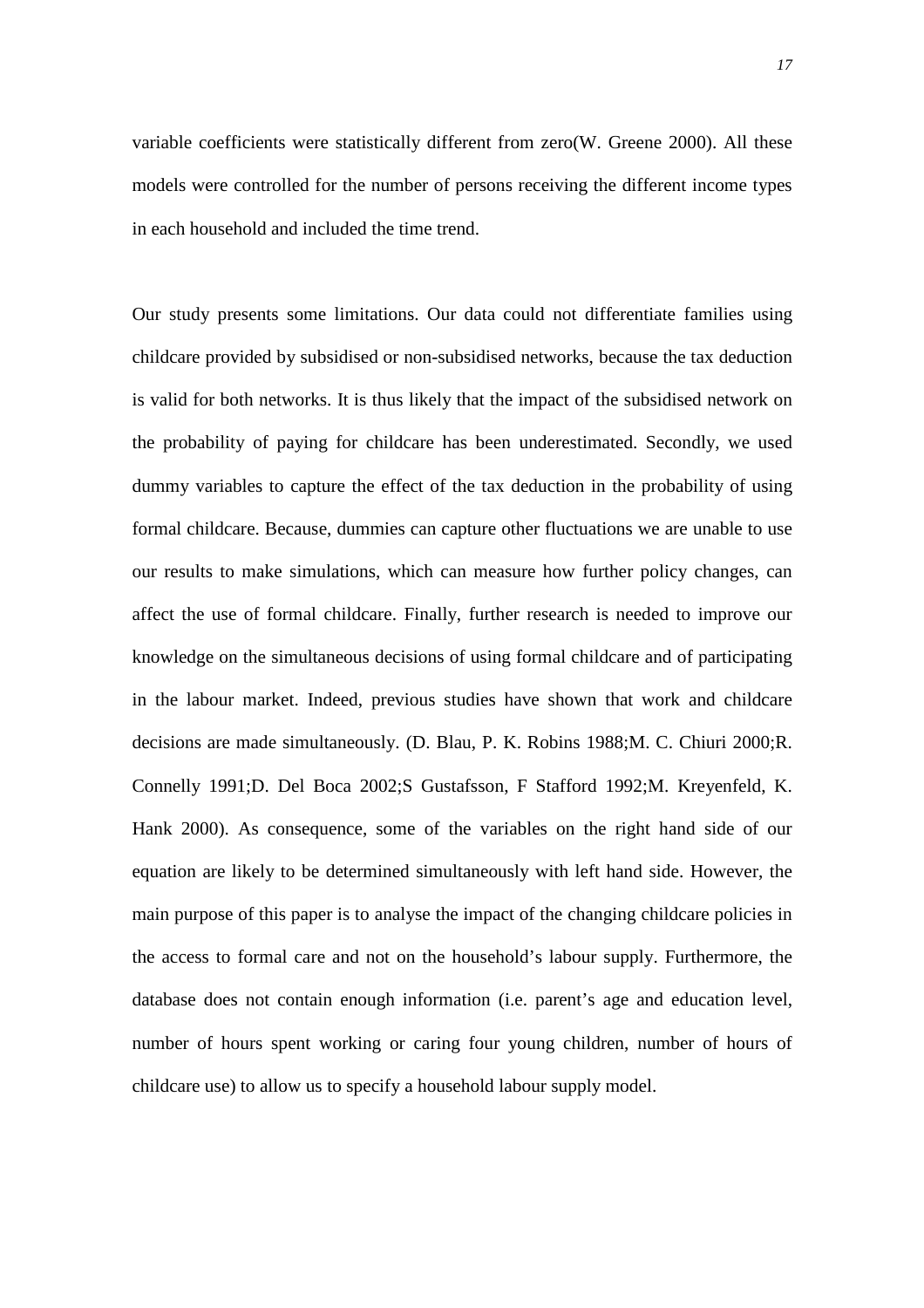variable coefficients were statistically different from zero(W. Greene 2000). All these models were controlled for the number of persons receiving the different income types in each household and included the time trend.

Our study presents some limitations. Our data could not differentiate families using childcare provided by subsidised or non-subsidised networks, because the tax deduction is valid for both networks. It is thus likely that the impact of the subsidised network on the probability of paying for childcare has been underestimated. Secondly, we used dummy variables to capture the effect of the tax deduction in the probability of using formal childcare. Because, dummies can capture other fluctuations we are unable to use our results to make simulations, which can measure how further policy changes, can affect the use of formal childcare. Finally, further research is needed to improve our knowledge on the simultaneous decisions of using formal childcare and of participating in the labour market. Indeed, previous studies have shown that work and childcare decisions are made simultaneously. (D. Blau, P. K. Robins 1988;M. C. Chiuri 2000;R. Connelly 1991;D. Del Boca 2002;S Gustafsson, F Stafford 1992;M. Kreyenfeld, K. Hank 2000). As consequence, some of the variables on the right hand side of our equation are likely to be determined simultaneously with left hand side. However, the main purpose of this paper is to analyse the impact of the changing childcare policies in the access to formal care and not on the household's labour supply. Furthermore, the database does not contain enough information (i.e. parent's age and education level, number of hours spent working or caring four young children, number of hours of childcare use) to allow us to specify a household labour supply model.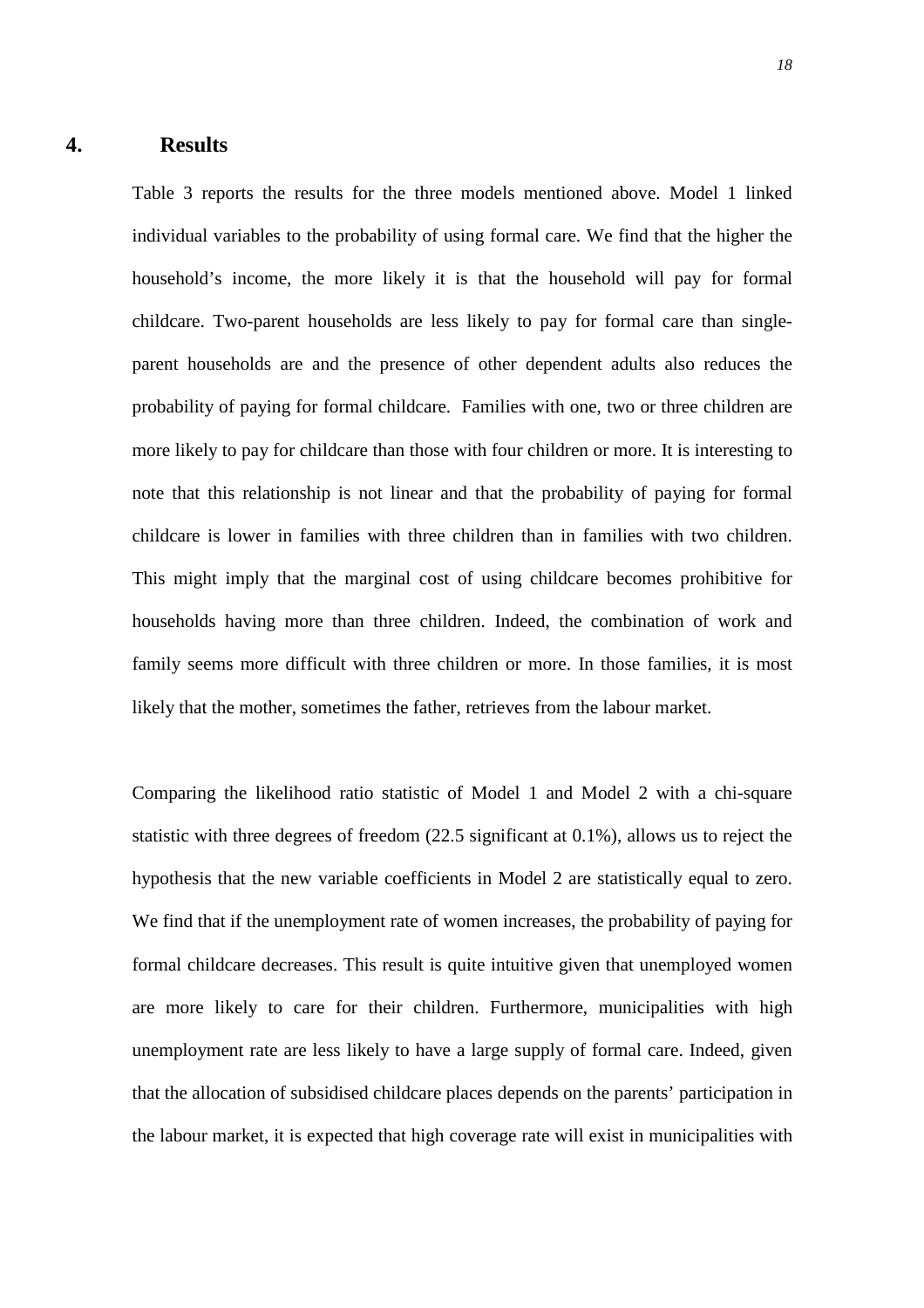## **4. Results**

Table 3 reports the results for the three models mentioned above. Model 1 linked individual variables to the probability of using formal care. We find that the higher the household's income, the more likely it is that the household will pay for formal childcare. Two-parent households are less likely to pay for formal care than singleparent households are and the presence of other dependent adults also reduces the probability of paying for formal childcare. Families with one, two or three children are more likely to pay for childcare than those with four children or more. It is interesting to note that this relationship is not linear and that the probability of paying for formal childcare is lower in families with three children than in families with two children. This might imply that the marginal cost of using childcare becomes prohibitive for households having more than three children. Indeed, the combination of work and family seems more difficult with three children or more. In those families, it is most likely that the mother, sometimes the father, retrieves from the labour market.

Comparing the likelihood ratio statistic of Model 1 and Model 2 with a chi-square statistic with three degrees of freedom (22.5 significant at 0.1%), allows us to reject the hypothesis that the new variable coefficients in Model 2 are statistically equal to zero. We find that if the unemployment rate of women increases, the probability of paying for formal childcare decreases. This result is quite intuitive given that unemployed women are more likely to care for their children. Furthermore, municipalities with high unemployment rate are less likely to have a large supply of formal care. Indeed, given that the allocation of subsidised childcare places depends on the parents' participation in the labour market, it is expected that high coverage rate will exist in municipalities with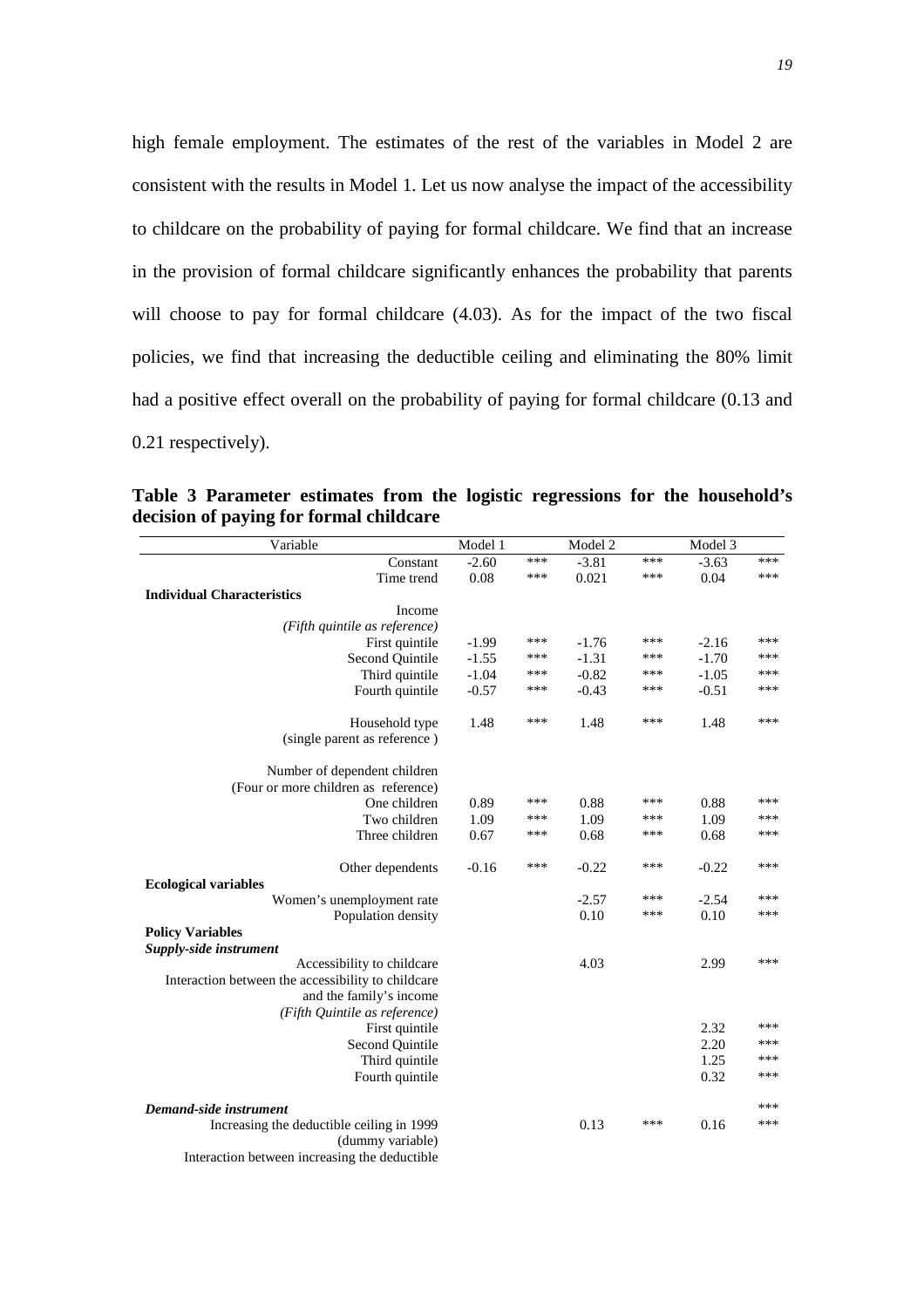high female employment. The estimates of the rest of the variables in Model 2 are consistent with the results in Model 1. Let us now analyse the impact of the accessibility to childcare on the probability of paying for formal childcare. We find that an increase in the provision of formal childcare significantly enhances the probability that parents will choose to pay for formal childcare  $(4.03)$ . As for the impact of the two fiscal policies, we find that increasing the deductible ceiling and eliminating the 80% limit had a positive effect overall on the probability of paying for formal childcare (0.13 and 0.21 respectively).

**Table 3 Parameter estimates from the logistic regressions for the household's decision of paying for formal childcare** 

| Variable                                                                                                                                     | Model 1 |     | Model 2 |            | Model 3 |     |
|----------------------------------------------------------------------------------------------------------------------------------------------|---------|-----|---------|------------|---------|-----|
| Constant                                                                                                                                     | $-2.60$ | *** | $-3.81$ | ***        | $-3.63$ | *** |
| Time trend                                                                                                                                   | 0.08    | *** | 0.021   | ***        | 0.04    | *** |
| <b>Individual Characteristics</b>                                                                                                            |         |     |         |            |         |     |
| Income                                                                                                                                       |         |     |         |            |         |     |
| (Fifth quintile as reference)                                                                                                                |         |     |         |            |         |     |
| First quintile                                                                                                                               | $-1.99$ | *** | $-1.76$ | ***        | $-2.16$ | *** |
| Second Quintile                                                                                                                              | $-1.55$ | *** | $-1.31$ | ***        | $-1.70$ | *** |
| Third quintile                                                                                                                               | $-1.04$ | *** | $-0.82$ | ***        | $-1.05$ | *** |
| Fourth quintile                                                                                                                              | $-0.57$ | *** | $-0.43$ | ***        | $-0.51$ | *** |
| Household type<br>(single parent as reference)                                                                                               | 1.48    | *** | 1.48    | ***        | 1.48    | *** |
| Number of dependent children<br>(Four or more children as reference)                                                                         |         |     |         |            |         |     |
| One children                                                                                                                                 | 0.89    | *** | 0.88    | ***        | 0.88    | *** |
| Two children                                                                                                                                 | 1.09    | *** | 1.09    | ***        | 1.09    | *** |
| Three children                                                                                                                               | 0.67    | *** | 0.68    | ***        | 0.68    | *** |
| Other dependents                                                                                                                             | $-0.16$ | *** | $-0.22$ | ***        | $-0.22$ | *** |
| <b>Ecological variables</b>                                                                                                                  |         |     |         |            |         | *** |
| Women's unemployment rate                                                                                                                    |         |     | $-2.57$ | ***<br>*** | $-2.54$ | *** |
| Population density                                                                                                                           |         |     | 0.10    |            | 0.10    |     |
| <b>Policy Variables</b>                                                                                                                      |         |     |         |            |         |     |
| Supply-side instrument                                                                                                                       |         |     |         |            |         | *** |
| Accessibility to childcare<br>Interaction between the accessibility to childcare<br>and the family's income<br>(Fifth Quintile as reference) |         |     | 4.03    |            | 2.99    |     |
| First quintile                                                                                                                               |         |     |         |            | 2.32    | *** |
| Second Quintile                                                                                                                              |         |     |         |            | 2.20    | *** |
| Third quintile                                                                                                                               |         |     |         |            | 1.25    | *** |
| Fourth quintile                                                                                                                              |         |     |         |            | 0.32    | *** |
| Demand-side instrument                                                                                                                       |         |     |         |            |         | *** |
| Increasing the deductible ceiling in 1999<br>(dummy variable)<br>Interaction between increasing the deductible                               |         |     | 0.13    | ***        | 0.16    | *** |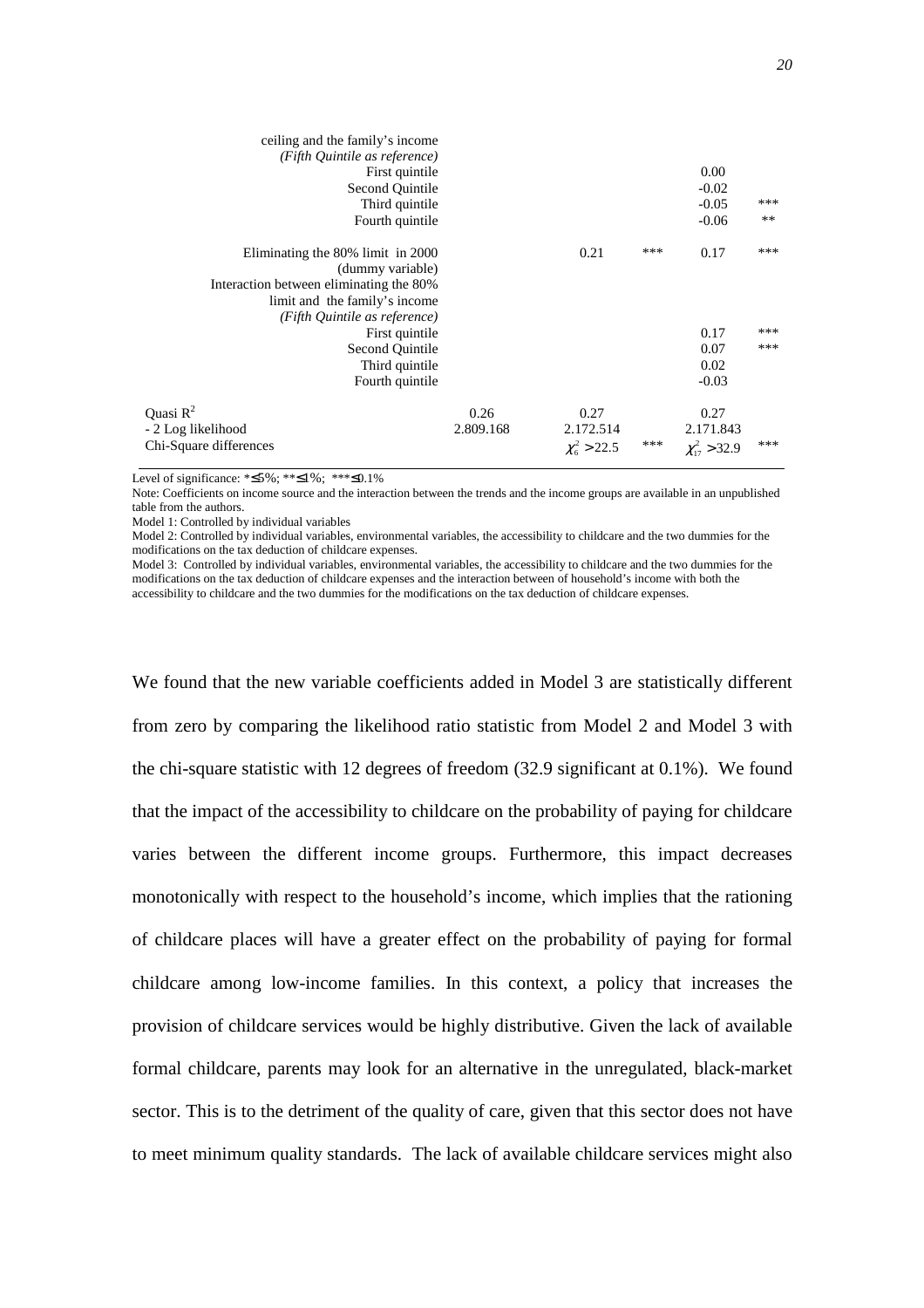| ceiling and the family's income<br>(Fifth Quintile as reference)<br>First quintile<br>Second Quintile<br>Third quintile<br>Fourth quintile                          |                   |                                          |     | 0.00<br>$-0.02$<br>$-0.05$<br>$-0.06$     | ***<br>** |
|---------------------------------------------------------------------------------------------------------------------------------------------------------------------|-------------------|------------------------------------------|-----|-------------------------------------------|-----------|
| Eliminating the 80% limit in 2000<br>(dummy variable)<br>Interaction between eliminating the 80%<br>limit and the family's income.<br>(Fifth Quintile as reference) |                   | 0.21                                     | *** | 0.17                                      | ***       |
| First quintile                                                                                                                                                      |                   |                                          |     | 0.17                                      | ***       |
| Second Quintile                                                                                                                                                     |                   |                                          |     | 0.07                                      | ***       |
| Third quintile                                                                                                                                                      |                   |                                          |     | 0.02                                      |           |
| Fourth quintile                                                                                                                                                     |                   |                                          |     | $-0.03$                                   |           |
| Quasi $R^2$<br>- 2 Log likelihood<br>Chi-Square differences                                                                                                         | 0.26<br>2.809.168 | 0.27<br>2.172.514<br>$\chi^2_{6} > 22.5$ | *** | 0.27<br>2.171.843<br>$\chi_{17}^2 > 32.9$ | ***       |
|                                                                                                                                                                     |                   |                                          |     |                                           |           |

Level of significance: \*≤5%; \*\*≤1%; \*\*\*≤0.1%

Note: Coefficients on income source and the interaction between the trends and the income groups are available in an unpublished table from the authors.

Model 1: Controlled by individual variables

Model 2: Controlled by individual variables, environmental variables, the accessibility to childcare and the two dummies for the modifications on the tax deduction of childcare expenses.

Model 3: Controlled by individual variables, environmental variables, the accessibility to childcare and the two dummies for the modifications on the tax deduction of childcare expenses and the interaction between of household's income with both the accessibility to childcare and the two dummies for the modifications on the tax deduction of childcare expenses.

We found that the new variable coefficients added in Model 3 are statistically different from zero by comparing the likelihood ratio statistic from Model 2 and Model 3 with the chi-square statistic with 12 degrees of freedom (32.9 significant at 0.1%). We found that the impact of the accessibility to childcare on the probability of paying for childcare varies between the different income groups. Furthermore, this impact decreases monotonically with respect to the household's income, which implies that the rationing of childcare places will have a greater effect on the probability of paying for formal childcare among low-income families. In this context, a policy that increases the provision of childcare services would be highly distributive. Given the lack of available formal childcare, parents may look for an alternative in the unregulated, black-market sector. This is to the detriment of the quality of care, given that this sector does not have to meet minimum quality standards. The lack of available childcare services might also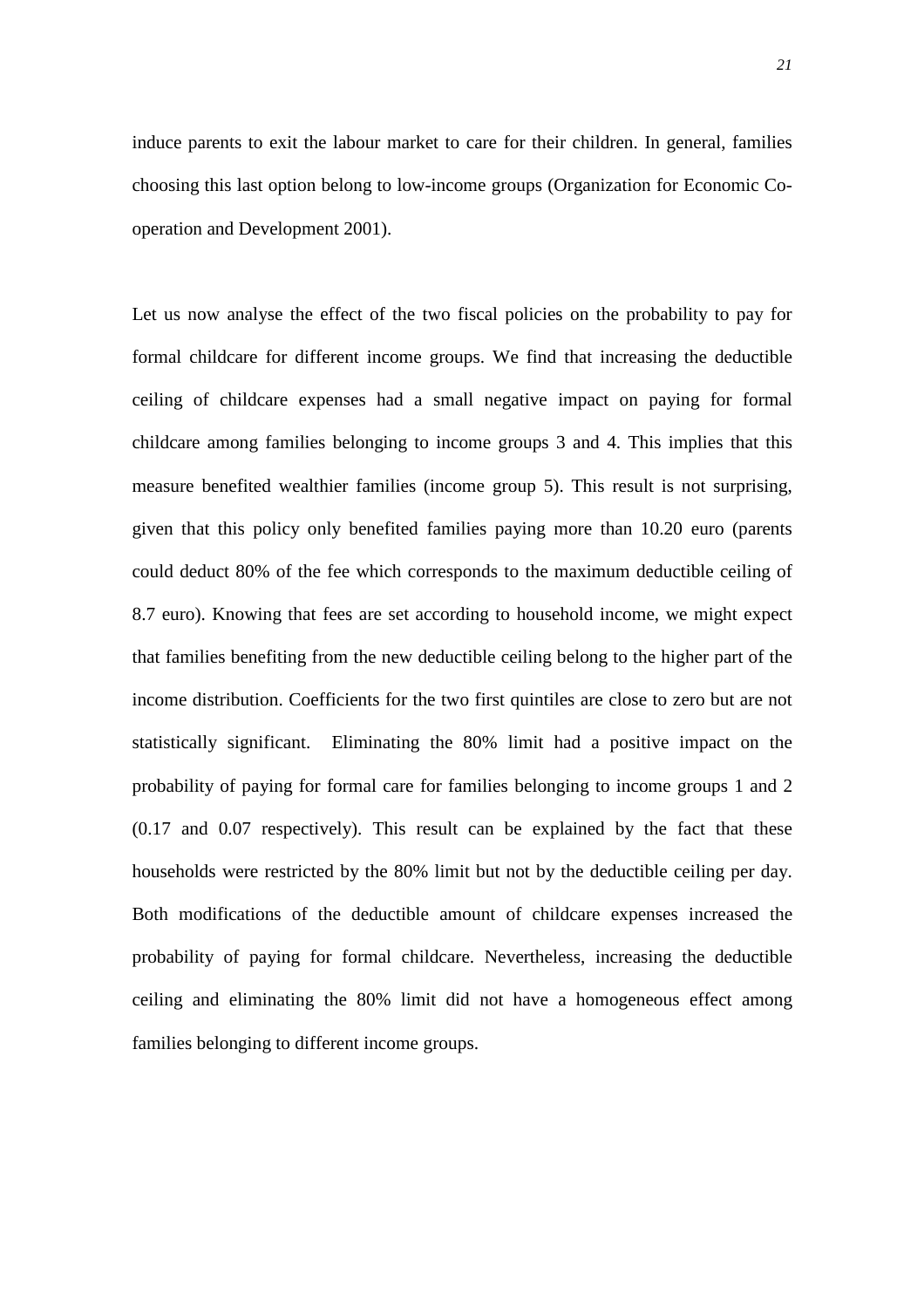induce parents to exit the labour market to care for their children. In general, families choosing this last option belong to low-income groups (Organization for Economic Cooperation and Development 2001).

Let us now analyse the effect of the two fiscal policies on the probability to pay for formal childcare for different income groups. We find that increasing the deductible ceiling of childcare expenses had a small negative impact on paying for formal childcare among families belonging to income groups 3 and 4. This implies that this measure benefited wealthier families (income group 5). This result is not surprising, given that this policy only benefited families paying more than 10.20 euro (parents could deduct 80% of the fee which corresponds to the maximum deductible ceiling of 8.7 euro). Knowing that fees are set according to household income, we might expect that families benefiting from the new deductible ceiling belong to the higher part of the income distribution. Coefficients for the two first quintiles are close to zero but are not statistically significant. Eliminating the 80% limit had a positive impact on the probability of paying for formal care for families belonging to income groups 1 and 2 (0.17 and 0.07 respectively). This result can be explained by the fact that these households were restricted by the 80% limit but not by the deductible ceiling per day. Both modifications of the deductible amount of childcare expenses increased the probability of paying for formal childcare. Nevertheless, increasing the deductible ceiling and eliminating the 80% limit did not have a homogeneous effect among families belonging to different income groups.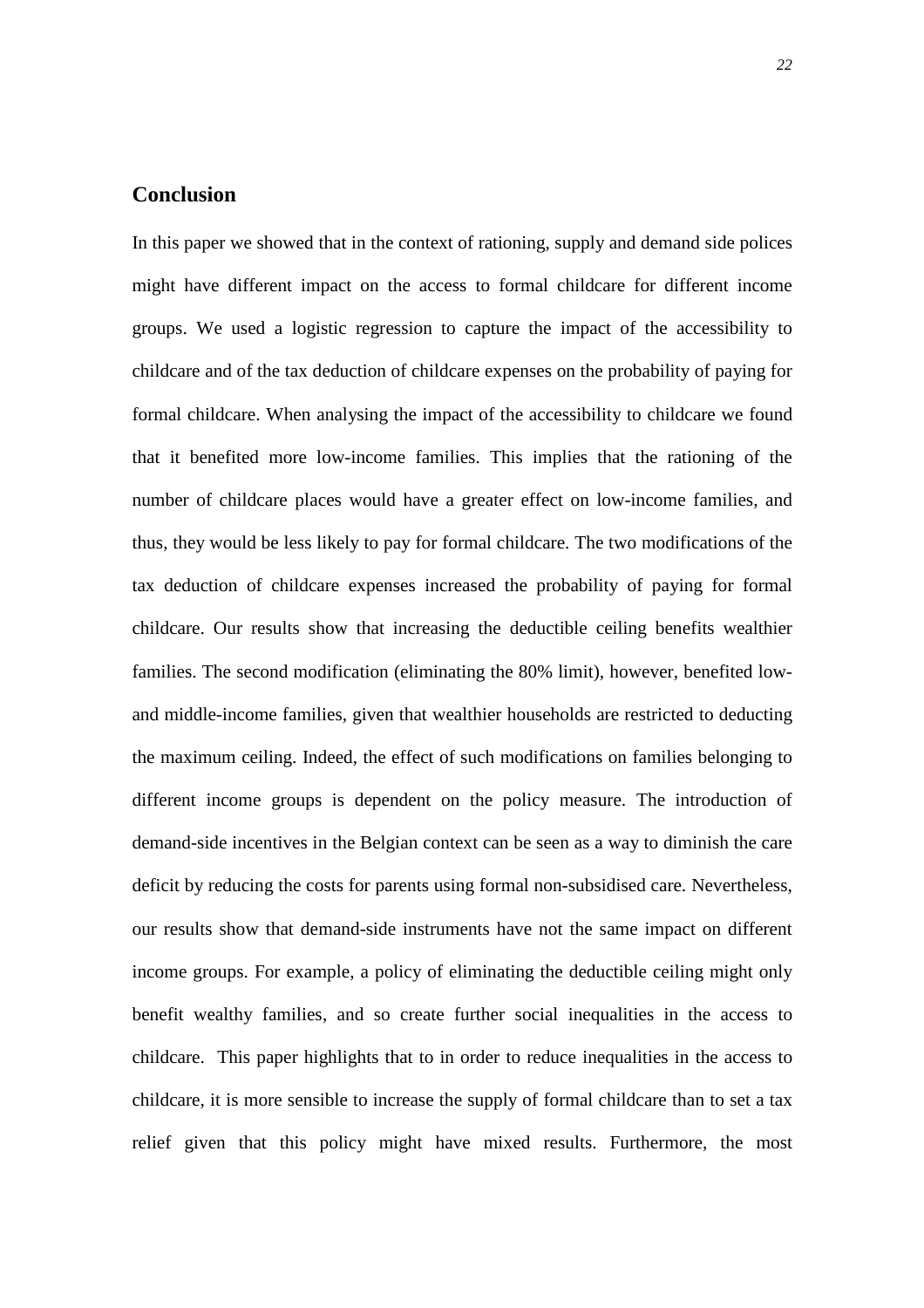# **Conclusion**

In this paper we showed that in the context of rationing, supply and demand side polices might have different impact on the access to formal childcare for different income groups. We used a logistic regression to capture the impact of the accessibility to childcare and of the tax deduction of childcare expenses on the probability of paying for formal childcare. When analysing the impact of the accessibility to childcare we found that it benefited more low-income families. This implies that the rationing of the number of childcare places would have a greater effect on low-income families, and thus, they would be less likely to pay for formal childcare. The two modifications of the tax deduction of childcare expenses increased the probability of paying for formal childcare. Our results show that increasing the deductible ceiling benefits wealthier families. The second modification (eliminating the 80% limit), however, benefited lowand middle-income families, given that wealthier households are restricted to deducting the maximum ceiling. Indeed, the effect of such modifications on families belonging to different income groups is dependent on the policy measure. The introduction of demand-side incentives in the Belgian context can be seen as a way to diminish the care deficit by reducing the costs for parents using formal non-subsidised care. Nevertheless, our results show that demand-side instruments have not the same impact on different income groups. For example, a policy of eliminating the deductible ceiling might only benefit wealthy families, and so create further social inequalities in the access to childcare. This paper highlights that to in order to reduce inequalities in the access to childcare, it is more sensible to increase the supply of formal childcare than to set a tax relief given that this policy might have mixed results. Furthermore, the most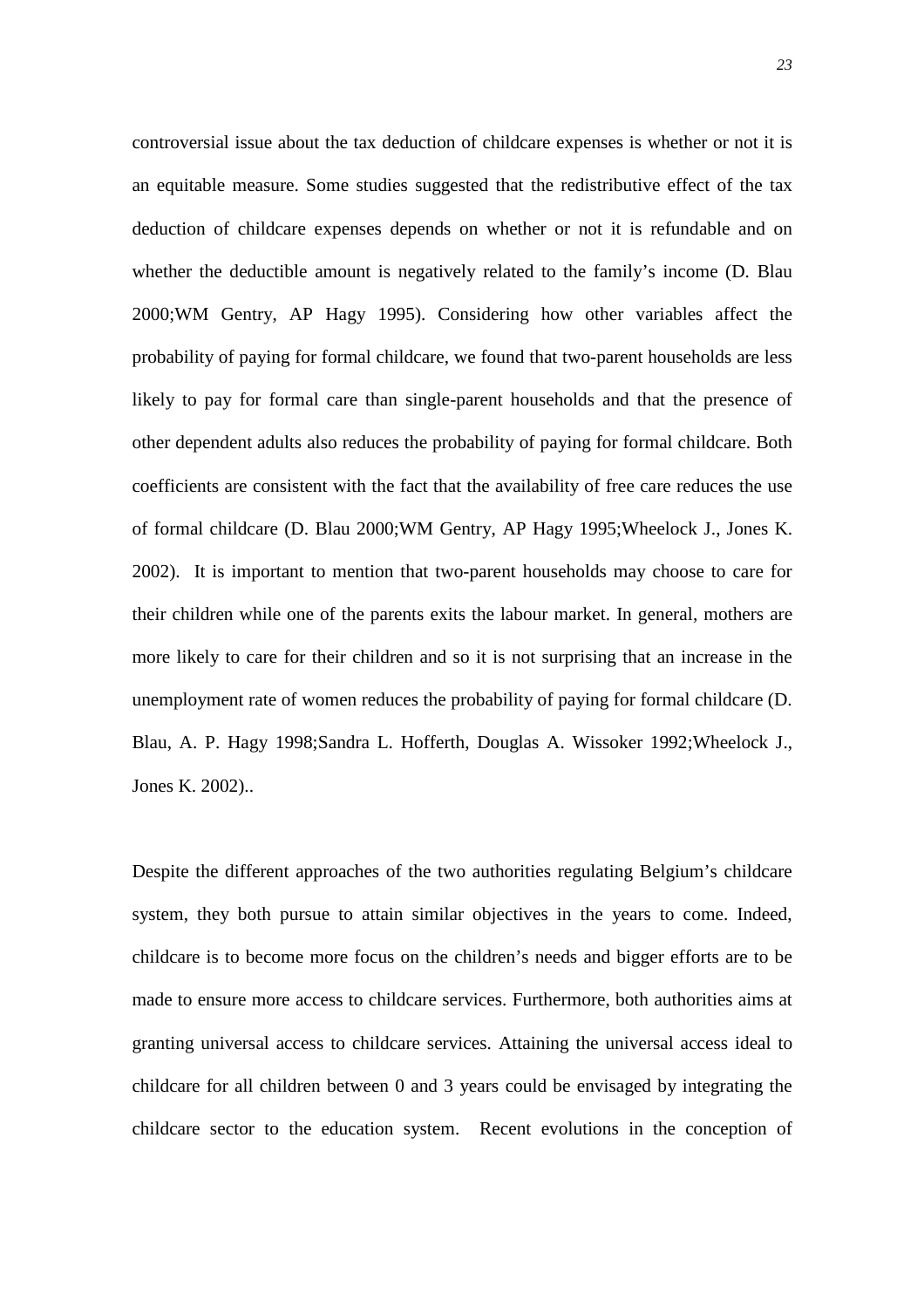controversial issue about the tax deduction of childcare expenses is whether or not it is an equitable measure. Some studies suggested that the redistributive effect of the tax deduction of childcare expenses depends on whether or not it is refundable and on whether the deductible amount is negatively related to the family's income (D. Blau 2000;WM Gentry, AP Hagy 1995). Considering how other variables affect the probability of paying for formal childcare, we found that two-parent households are less likely to pay for formal care than single-parent households and that the presence of other dependent adults also reduces the probability of paying for formal childcare. Both coefficients are consistent with the fact that the availability of free care reduces the use of formal childcare (D. Blau 2000;WM Gentry, AP Hagy 1995;Wheelock J., Jones K. 2002). It is important to mention that two-parent households may choose to care for their children while one of the parents exits the labour market. In general, mothers are more likely to care for their children and so it is not surprising that an increase in the unemployment rate of women reduces the probability of paying for formal childcare (D. Blau, A. P. Hagy 1998;Sandra L. Hofferth, Douglas A. Wissoker 1992;Wheelock J., Jones K. 2002)..

Despite the different approaches of the two authorities regulating Belgium's childcare system, they both pursue to attain similar objectives in the years to come. Indeed, childcare is to become more focus on the children's needs and bigger efforts are to be made to ensure more access to childcare services. Furthermore, both authorities aims at granting universal access to childcare services. Attaining the universal access ideal to childcare for all children between 0 and 3 years could be envisaged by integrating the childcare sector to the education system. Recent evolutions in the conception of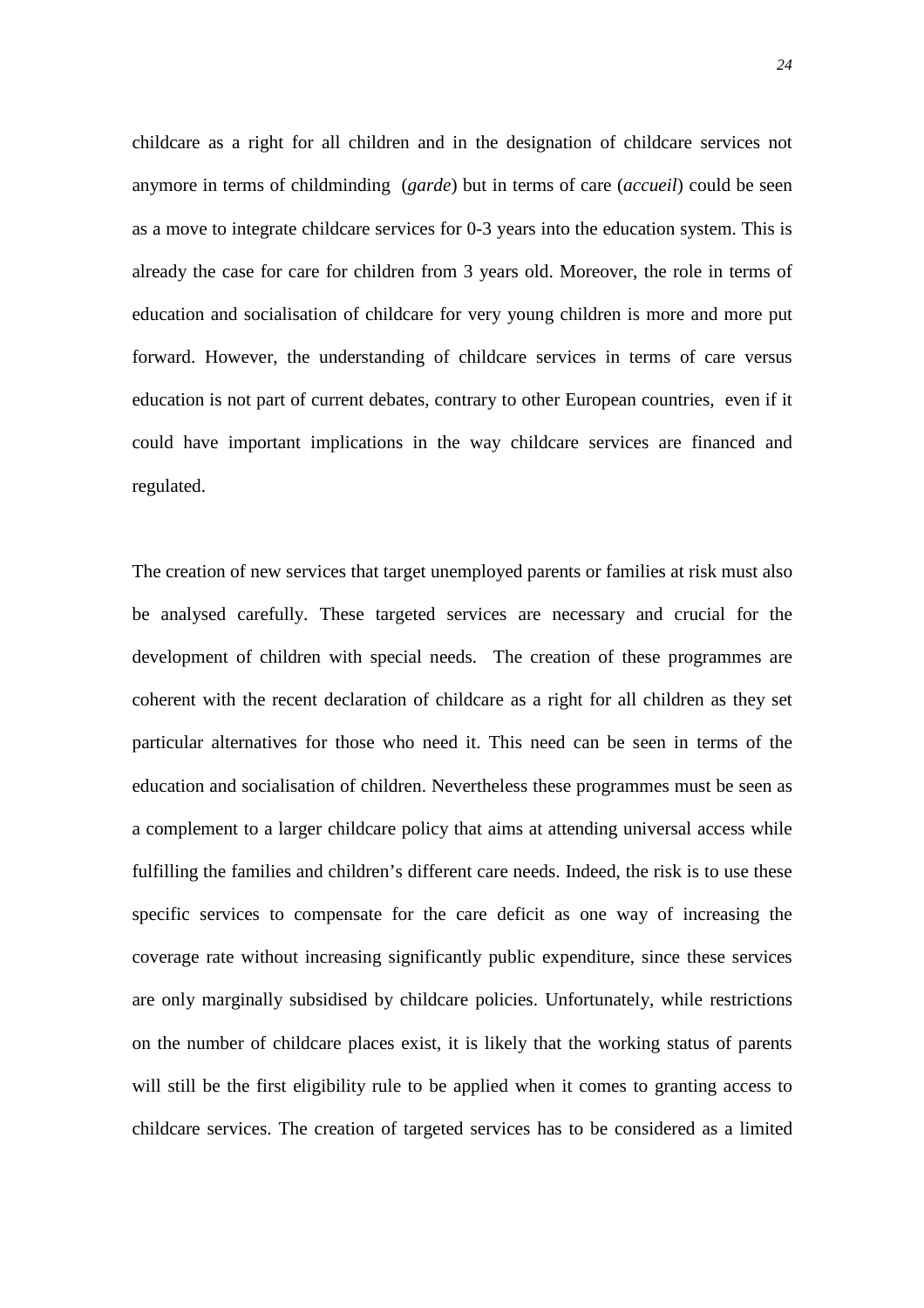childcare as a right for all children and in the designation of childcare services not anymore in terms of childminding (*garde*) but in terms of care (*accueil*) could be seen as a move to integrate childcare services for 0-3 years into the education system. This is already the case for care for children from 3 years old. Moreover, the role in terms of education and socialisation of childcare for very young children is more and more put forward. However, the understanding of childcare services in terms of care versus education is not part of current debates, contrary to other European countries, even if it could have important implications in the way childcare services are financed and regulated.

The creation of new services that target unemployed parents or families at risk must also be analysed carefully. These targeted services are necessary and crucial for the development of children with special needs. The creation of these programmes are coherent with the recent declaration of childcare as a right for all children as they set particular alternatives for those who need it. This need can be seen in terms of the education and socialisation of children. Nevertheless these programmes must be seen as a complement to a larger childcare policy that aims at attending universal access while fulfilling the families and children's different care needs. Indeed, the risk is to use these specific services to compensate for the care deficit as one way of increasing the coverage rate without increasing significantly public expenditure, since these services are only marginally subsidised by childcare policies. Unfortunately, while restrictions on the number of childcare places exist, it is likely that the working status of parents will still be the first eligibility rule to be applied when it comes to granting access to childcare services. The creation of targeted services has to be considered as a limited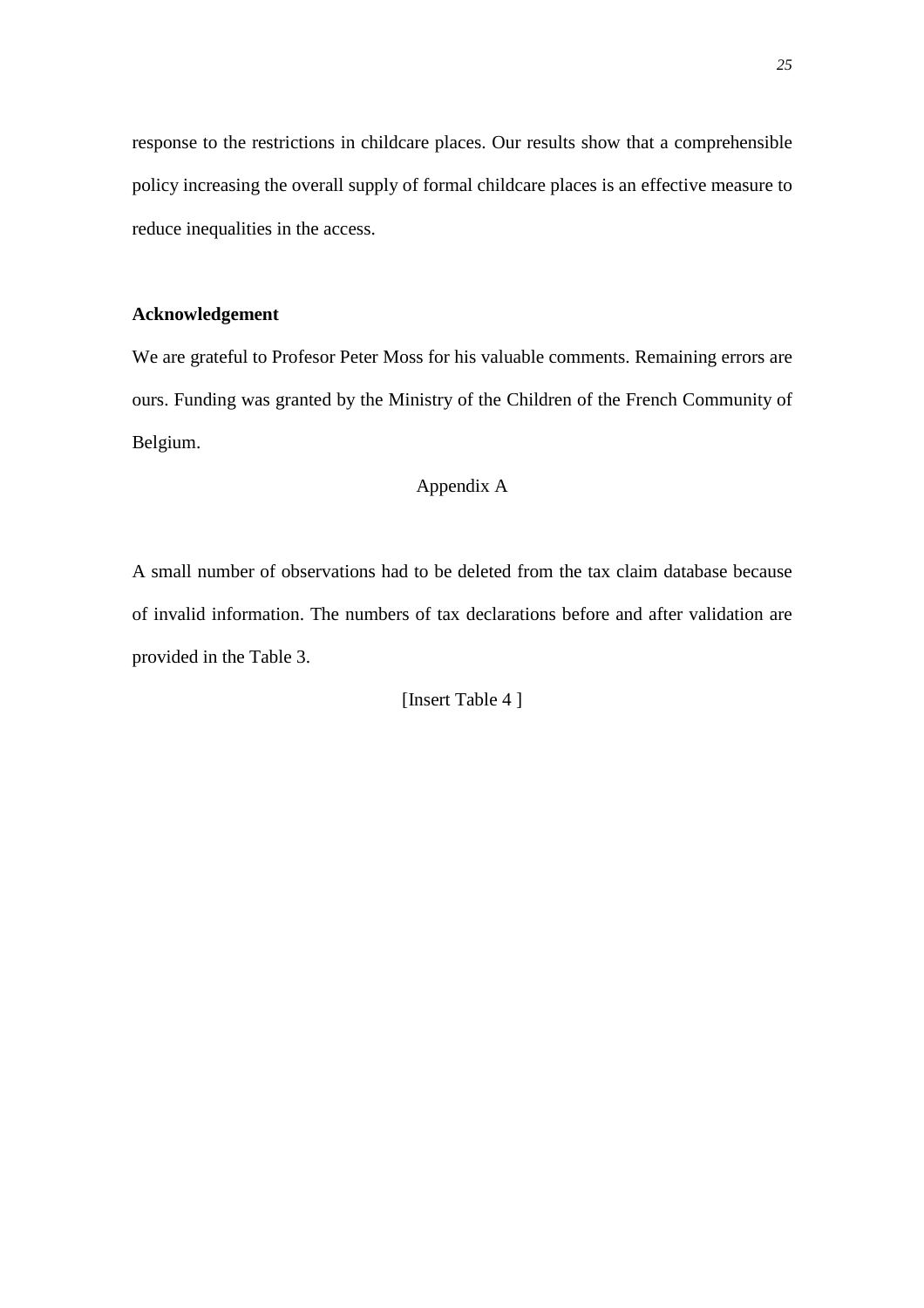response to the restrictions in childcare places. Our results show that a comprehensible policy increasing the overall supply of formal childcare places is an effective measure to reduce inequalities in the access.

## **Acknowledgement**

We are grateful to Profesor Peter Moss for his valuable comments. Remaining errors are ours. Funding was granted by the Ministry of the Children of the French Community of Belgium.

# Appendix A

A small number of observations had to be deleted from the tax claim database because of invalid information. The numbers of tax declarations before and after validation are provided in the Table 3.

[Insert Table 4 ]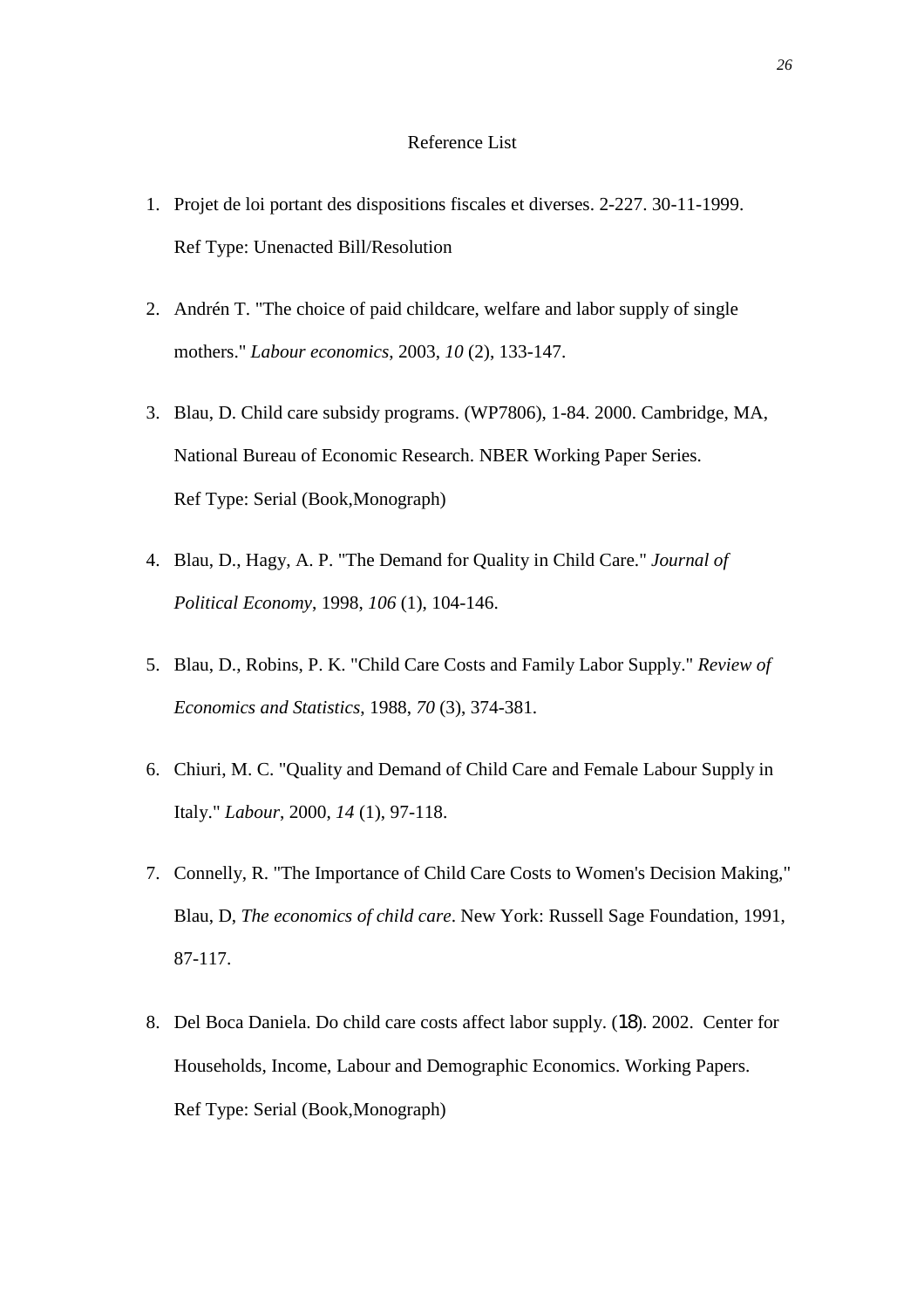#### Reference List

- 1. Projet de loi portant des dispositions fiscales et diverses. 2-227. 30-11-1999. Ref Type: Unenacted Bill/Resolution
- 2. Andrén T. "The choice of paid childcare, welfare and labor supply of single mothers." *Labour economics*, 2003, *10* (2), 133-147.
- 3. Blau, D. Child care subsidy programs. (WP7806), 1-84. 2000. Cambridge, MA, National Bureau of Economic Research. NBER Working Paper Series. Ref Type: Serial (Book,Monograph)
- 4. Blau, D., Hagy, A. P. "The Demand for Quality in Child Care." *Journal of Political Economy*, 1998, *106* (1), 104-146.
- 5. Blau, D., Robins, P. K. "Child Care Costs and Family Labor Supply." *Review of Economics and Statistics*, 1988, *70* (3), 374-381.
- 6. Chiuri, M. C. "Quality and Demand of Child Care and Female Labour Supply in Italy." *Labour*, 2000, *14* (1), 97-118.
- 7. Connelly, R. "The Importance of Child Care Costs to Women's Decision Making," Blau, D, *The economics of child care*. New York: Russell Sage Foundation, 1991, 87-117.
- 8. Del Boca Daniela. Do child care costs affect labor supply. (18). 2002. Center for Households, Income, Labour and Demographic Economics. Working Papers. Ref Type: Serial (Book,Monograph)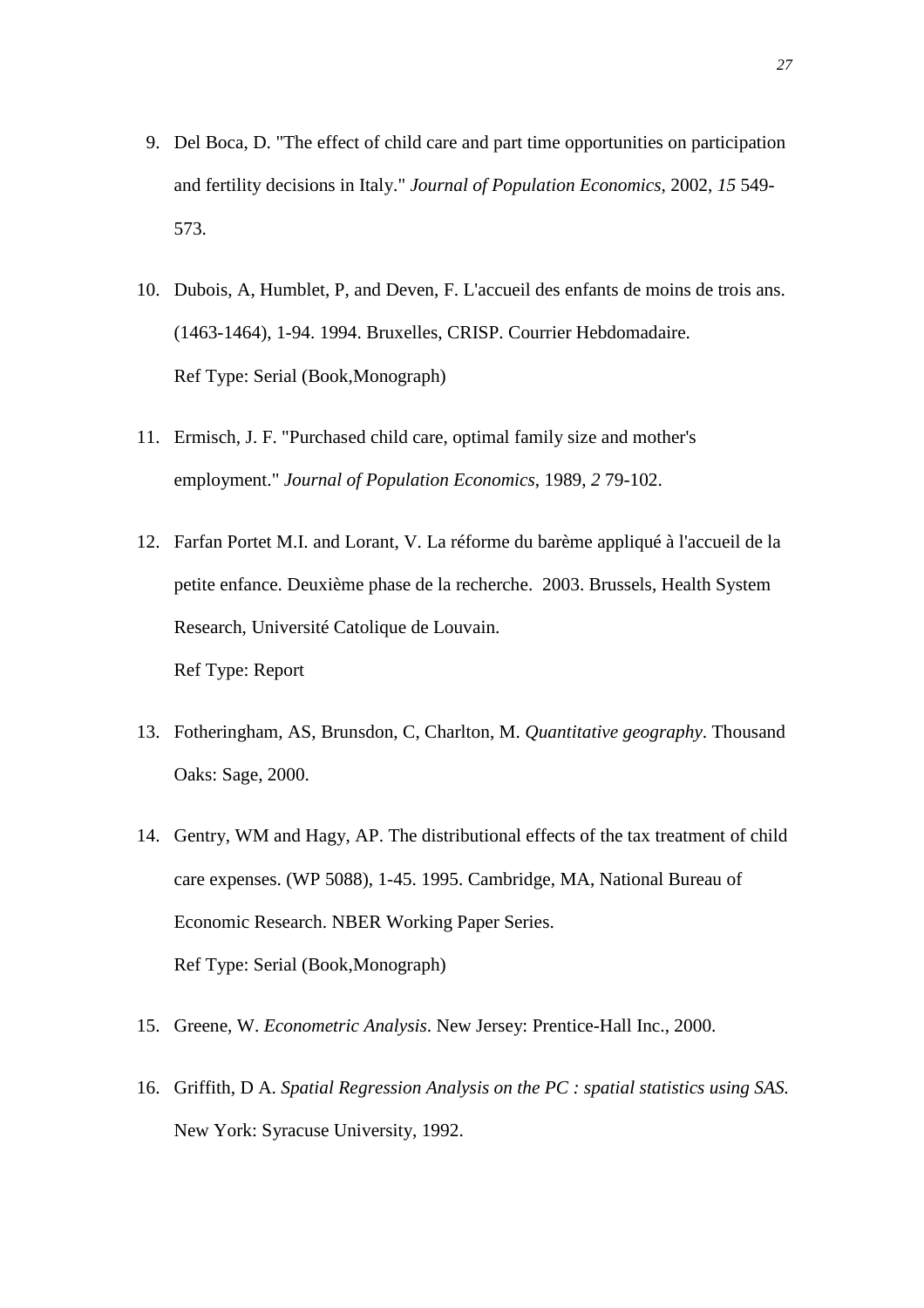- 9. Del Boca, D. "The effect of child care and part time opportunities on participation and fertility decisions in Italy." *Journal of Population Economics*, 2002, *15* 549- 573.
- 10. Dubois, A, Humblet, P, and Deven, F. L'accueil des enfants de moins de trois ans. (1463-1464), 1-94. 1994. Bruxelles, CRISP. Courrier Hebdomadaire. Ref Type: Serial (Book,Monograph)
- 11. Ermisch, J. F. "Purchased child care, optimal family size and mother's employment." *Journal of Population Economics*, 1989, *2* 79-102.
- 12. Farfan Portet M.I. and Lorant, V. La réforme du barème appliqué à l'accueil de la petite enfance. Deuxième phase de la recherche. 2003. Brussels, Health System Research, Université Catolique de Louvain. Ref Type: Report
- 13. Fotheringham, AS, Brunsdon, C, Charlton, M. *Quantitative geography*. Thousand Oaks: Sage, 2000.
- 14. Gentry, WM and Hagy, AP. The distributional effects of the tax treatment of child care expenses. (WP 5088), 1-45. 1995. Cambridge, MA, National Bureau of Economic Research. NBER Working Paper Series. Ref Type: Serial (Book,Monograph)
- 15. Greene, W. *Econometric Analysis*. New Jersey: Prentice-Hall Inc., 2000.
- 16. Griffith, D A. *Spatial Regression Analysis on the PC : spatial statistics using SAS.* New York: Syracuse University, 1992.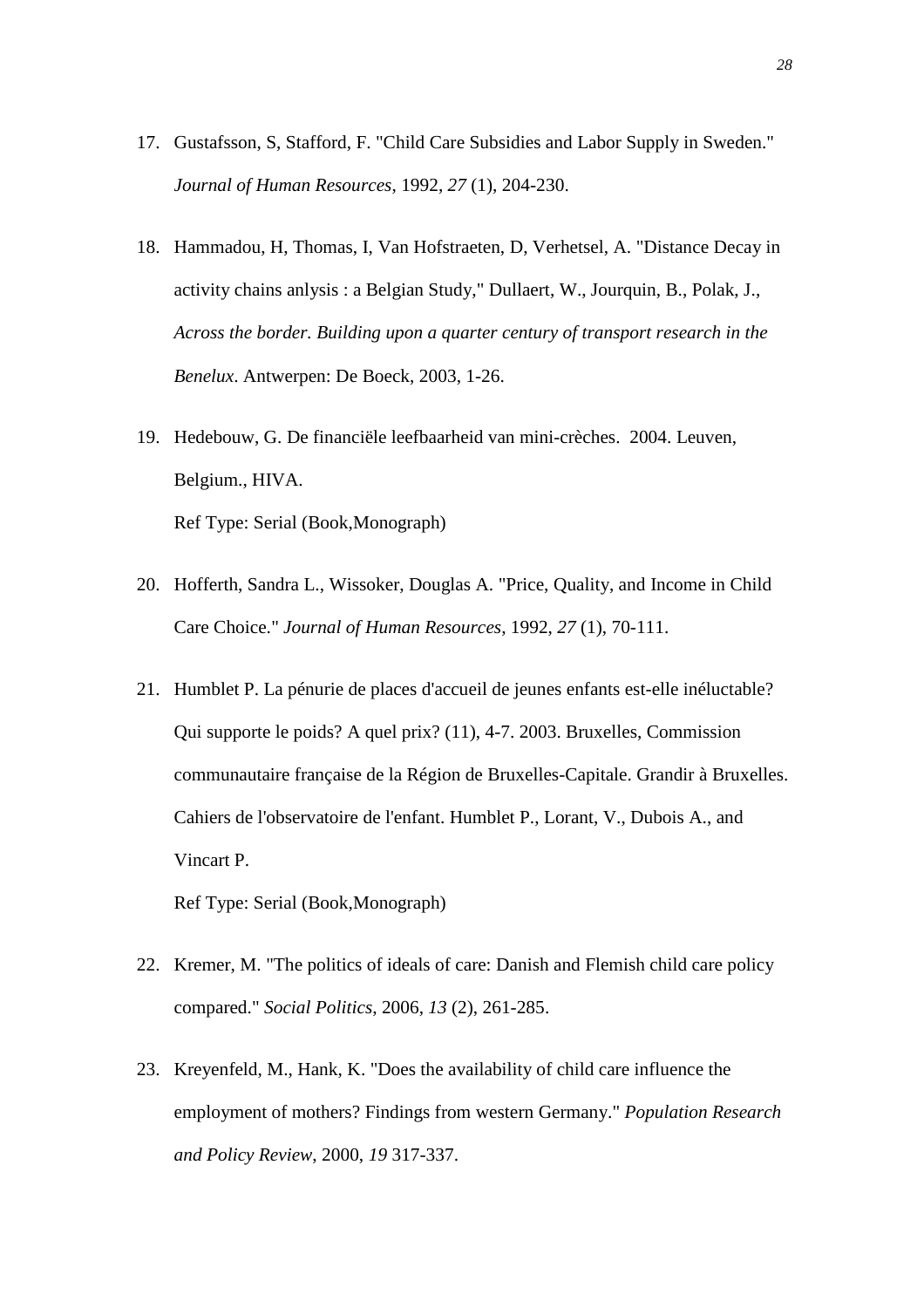- 17. Gustafsson, S, Stafford, F. "Child Care Subsidies and Labor Supply in Sweden." *Journal of Human Resources*, 1992, *27* (1), 204-230.
- 18. Hammadou, H, Thomas, I, Van Hofstraeten, D, Verhetsel, A. "Distance Decay in activity chains anlysis : a Belgian Study," Dullaert, W., Jourquin, B., Polak, J., *Across the border. Building upon a quarter century of transport research in the Benelux*. Antwerpen: De Boeck, 2003, 1-26.
- 19. Hedebouw, G. De financiële leefbaarheid van mini-crèches. 2004. Leuven, Belgium., HIVA. Ref Type: Serial (Book,Monograph)
- 20. Hofferth, Sandra L., Wissoker, Douglas A. "Price, Quality, and Income in Child Care Choice." *Journal of Human Resources*, 1992, *27* (1), 70-111.
- 21. Humblet P. La pénurie de places d'accueil de jeunes enfants est-elle inéluctable? Qui supporte le poids? A quel prix? (11), 4-7. 2003. Bruxelles, Commission communautaire française de la Région de Bruxelles-Capitale. Grandir à Bruxelles. Cahiers de l'observatoire de l'enfant. Humblet P., Lorant, V., Dubois A., and Vincart P.

Ref Type: Serial (Book,Monograph)

- 22. Kremer, M. "The politics of ideals of care: Danish and Flemish child care policy compared." *Social Politics*, 2006, *13* (2), 261-285.
- 23. Kreyenfeld, M., Hank, K. "Does the availability of child care influence the employment of mothers? Findings from western Germany." *Population Research and Policy Review*, 2000, *19* 317-337.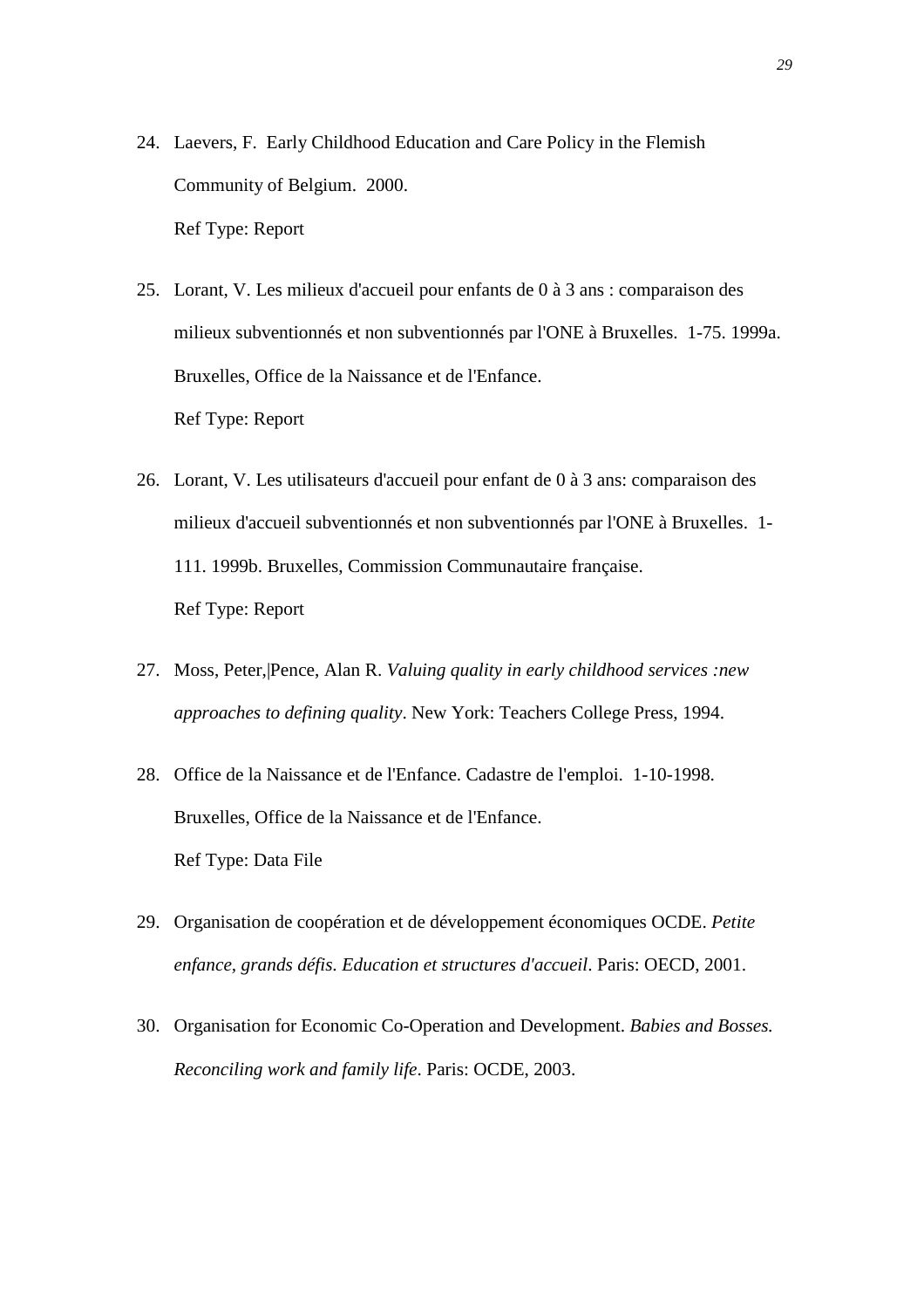- 24. Laevers, F. Early Childhood Education and Care Policy in the Flemish Community of Belgium. 2000. Ref Type: Report
- 25. Lorant, V. Les milieux d'accueil pour enfants de 0 à 3 ans : comparaison des milieux subventionnés et non subventionnés par l'ONE à Bruxelles. 1-75. 1999a. Bruxelles, Office de la Naissance et de l'Enfance. Ref Type: Report
- 26. Lorant, V. Les utilisateurs d'accueil pour enfant de 0 à 3 ans: comparaison des milieux d'accueil subventionnés et non subventionnés par l'ONE à Bruxelles. 1- 111. 1999b. Bruxelles, Commission Communautaire française. Ref Type: Report
- 27. Moss, Peter,|Pence, Alan R. *Valuing quality in early childhood services :new approaches to defining quality*. New York: Teachers College Press, 1994.
- 28. Office de la Naissance et de l'Enfance. Cadastre de l'emploi. 1-10-1998. Bruxelles, Office de la Naissance et de l'Enfance. Ref Type: Data File
- 29. Organisation de coopération et de développement économiques OCDE. *Petite enfance, grands défis. Education et structures d'accueil*. Paris: OECD, 2001.
- 30. Organisation for Economic Co-Operation and Development. *Babies and Bosses. Reconciling work and family life*. Paris: OCDE, 2003.